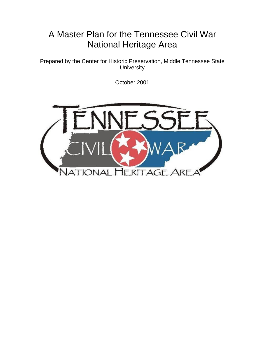# A Master Plan for the Tennessee Civil War National Heritage Area

Prepared by the Center for Historic Preservation, Middle Tennessee State **University** 

October 2001

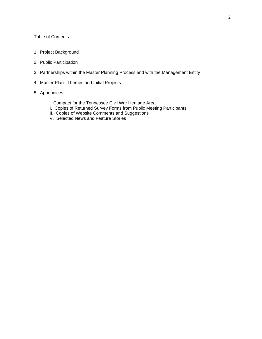# Table of Contents

- 1. Project Background
- 2. Public Participation
- 3. Partnerships within the Master Planning Process and with the Management Entity
- 4. Master Plan: Themes and Initial Projects
- 5. Appendices
	- I. Compact for the Tennessee Civil War Heritage Area
	- II. Copies of Returned Survey Forms from Public Meeting Participants
	- III. Copies of Website Comments and Suggestions
	- IV. Selected News and Feature Stories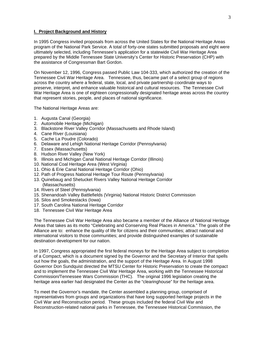## **I. Project Background and History**

In 1995 Congress invited proposals from across the United States for the National Heritage Areas program of the National Park Service. A total of forty-one states submitted proposals and eight were ultimately selected, including Tennessee's application for a statewide Civil War Heritage Area prepared by the Middle Tennessee State University's Center for Historic Preservation (CHP) with the assistance of Congressman Bart Gordon.

On November 12, 1996, Congress passed Public Law 104-333, which authorized the creation of the Tennessee Civil War Heritage Area. Tennessee, thus, became part of a select group of regions across the country where a federal, state, local, and private partnership coordinate ways to preserve, interpret, and enhance valuable historical and cultural resources. The Tennessee Civil War Heritage Area is one of eighteen congressionally designated heritage areas across the country that represent stories, people, and places of national significance.

The National Heritage Areas are:

- 1. Augusta Canal (Georgia)
- 2. Automobile Heritage (Michigan)
- 3. Blackstone River Valley Corridor (Massachusetts and Rhode Island)
- 4. Cane River (Louisiana)
- 5. Cache La Poudre (Colorado)
- 6. Delaware and Lehigh National Heritage Corridor (Pennsylvania)
- 7. Essex (Massachusetts)
- 8. Hudson River Valley (New York)
- 9. Illinois and Michigan Canal National Heritage Corridor (Illinois)
- 10. National Coal Heritage Area (West Virginia)
- 11. Ohio & Erie Canal National Heritage Corridor (Ohio)
- 12. Path of Progress National Heritage Tour Route (Pennsylvania)
- 13. Quinebaug and Shetucket Rivers Valley National Heritage Corridor (Massachusetts)
- 14. Rivers of Steel (Pennsylvania)
- 15. Shenandoah Valley Battlefields (Virginia) National Historic District Commission
- 16. Silos and Smokestacks (Iowa)
- 17. South Carolina National Heritage Corridor
- 18. Tennessee Civil War Heritage Area

The Tennessee Civil War Heritage Area also became a member of the Alliance of National Heritage Areas that takes as its motto "Celebrating and Conserving Real Places in America." The goals of the Alliance are to: enhance the quality of life for citizens and their communities; attract national and international visitors to those communities; and provide distinguished examples of sustainable destination development for our nation.

In 1997, Congress appropriated the first federal moneys for the Heritage Area subject to completion of a Compact, which is a document signed by the Governor and the Secretary of Interior that spells out how the goals, the administration, and the support of the Heritage Area. In August 1998 Governor Don Sundquist directed the MTSU Center for Historic Preservation to create the compact and to implement the Tennessee Civil War Heritage Area, working with the Tennessee Historical Commission/Tennessee Wars Commission (THC). The original 1996 legislation creating the heritage area earlier had designated the Center as the "clearinghouse" for the heritage area.

To meet the Governor's mandate, the Center assembled a planning group, comprised of representatives from groups and organizations that have long supported heritage projects in the Civil War and Reconstruction period. These groups included the federal Civil War and Reconstruction-related national parks in Tennessee, the Tennessee Historical Commission, the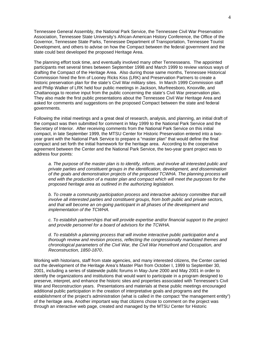Tennessee General Assembly, the National Park Service, the Tennessee Civil War Preservation Association, Tennessee State University's African-American History Conference, the Office of the Governor, Tennessee State Parks, Tennessee Department of Transportation, Tennessee Tourist Development, and others to advise on how the Compact between the federal government and the state could best developed the proposed Heritage Area.

The planning effort took time, and eventually involved many other Tennesseans. The appointed participants met several times between September 1998 and March 1999 to review various ways of drafting the Compact of the Heritage Area. Also during those same months, Tennessee Historical Commission hired the firm of Looney Ricks Kiss (LRK) and Preservation Partners to create a historic preservation plan for the state's Civil War military sites. In March 1999 Commission staff and Philip Walker of LRK held four public meetings in Jackson, Murfreesboro, Knoxville, and Chattanooga to receive input from the public concerning the state's Civil War preservation plan. They also made the first public presentations about the Tennessee Civil War Heritage Area and asked for comments and suggestions on the proposed Compact between the state and federal governments.

Following the initial meetings and a great deal of research, analysis, and planning, an initial draft of the compact was then submitted for comment in May 1999 to the National Park Service and the Secretary of Interior. After receiving comments from the National Park Service on this initial compact, in late September 1999, the MTSU Center for Historic Preservation entered into a twoyear grant with the National Park Service to prepare a "master plan" that would define the final compact and set forth the initial framework for the heritage area. According to the cooperative agreement between the Center and the National Park Service, the two-year grant project was to address four points:

*a. The purpose of the master plan is to identify, inform, and involve all interested public and private parties and constituent groups in the identification, development, and dissemination of the goals and demonstration projects of the proposed TCWHA. The planning process will end with the production of a master plan and compact which will meet the purposes for the proposed heritage area as outlined in the authorizing legislation.* 

*b. To create a community participation process and interactive advisory committee that will involve all interested parties and constituent groups, from both public and private sectors, and that will become an on-going participant in all phases of the development and implementation of the TCWHA.* 

*c. To establish partnerships that will provide expertise and/or financial support to the project and provide personnel for a board of advisors for the TCWHA.* 

*d. To establish a planning process that will involve interactive public participation and a thorough review and revision process, reflecting the congressionally mandated themes and chronological parameters of the Civil War, the Civil War Homefront and Occupation, and Reconstruction, 1850-1870.* 

Working with historians, staff from state agencies, and many interested citizens, the Center carried out the development of the Heritage Area's Master Plan from October I, 1999 to September 30, 2001, including a series of statewide public forums in May-June 2000 and May 2001 in order to identify the organizations and institutions that would want to participate in a program designed to preserve, interpret, and enhance the historic sites and properties associated with Tennessee's Civil War and Reconstruction years. Presentations and materials at these public meetings encouraged additional public participation in the creation of interpretative goals and programs and the establishment of the project's administration (what is called in the compact "the management entity") of the heritage area. Another important way that citizens chose to comment on the project was through an interactive web page, created and managed by the MTSU Center for Historic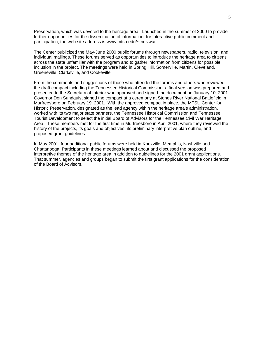Preservation, which was devoted to the heritage area. Launched in the summer of 2000 to provide further opportunities for the dissemination of information, for interactive public comment and participation, the web site address is www.mtsu.edu/~tncivwar.

The Center publicized the May-June 2000 public forums through newspapers, radio, television, and individual mailings. These forums served as opportunities to introduce the heritage area to citizens across the state unfamiliar with the program and to gather information from citizens for possible inclusion in the project. The meetings were held in Spring Hill, Somerville, Martin, Cleveland, Greeneville, Clarksville, and Cookeville.

From the comments and suggestions of those who attended the forums and others who reviewed the draft compact including the Tennessee Historical Commission, a final version was prepared and presented to the Secretary of Interior who approved and signed the document on January 10, 2001. Governor Don Sundquist signed the compact at a ceremony at Stones River National Battlefield in Murfreesboro on February 19, 2001. With the approved compact in place, the MTSU Center for Historic Preservation, designated as the lead agency within the heritage area's administration, worked with its two major state partners, the Tennessee Historical Commission and Tennessee Tourist Development to select the initial Board of Advisors for the Tennessee Civil War Heritage Area. These members met for the first time in Murfreesboro in April 2001, where they reviewed the history of the projects, its goals and objectives, its preliminary interpretive plan outline, and proposed grant guidelines.

In May 2001, four additional public forums were held in Knoxville, Memphis, Nashville and Chattanooga. Participants in these meetings learned about and discussed the proposed interpretive themes of the heritage area in addition to guidelines for the 2001 grant applications. That summer, agencies and groups began to submit the first grant applications for the consideration of the Board of Advisors.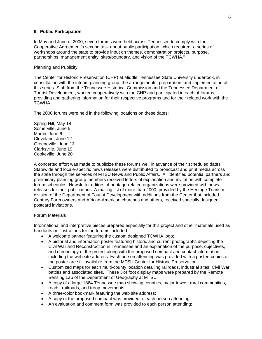## **II. Public Participation**

In May and June of 2000, seven forums were held across Tennessee to comply with the Cooperative Agreement's second task about public participation, which required "a series of workshops around the state to provide input on themes, demonstration projects, purpose, partnerships, management entity, sites/boundary, and vision of the TCWHA."

## Planning and Publicity

The Center for Historic Preservation (CHP) at Middle Tennessee State University undertook, in consultation with the interim planning group, the arrangements, preparation, and implementation of this series. Staff from the Tennessee Historical Commission and the Tennessee Department of Tourist Development, worked cooperatively with the CHP and participated in each of forums, providing and gathering information for their respective programs and for their related work with the TCWHA.

The 2000 forums were held in the following locations on these dates:

Spring Hill, May 18 Somerville, June 5 Martin, June 6 Cleveland, June 12 Greeneville, June 13 Clarksville, June 19 Cookeville, June 20

A concerted effort was made to publicize these forums well in advance of their scheduled dates. Statewide and locale-specific news releases were distributed to broadcast and print media across the state through the services of MTSU News and Public Affairs. All identified potential partners and preliminary planning group members received letters of explanation and invitation with complete forum schedules. Newsletter editors of heritage-related organizations were provided with news releases for their publications. A mailing list of more than 2000, provided by the Heritage Tourism division of the Department of Tourist Development with additions from the Center that included Century Farm owners and African-American churches and others, received specially designed postcard invitations.

## Forum Materials

Informational and interpretive pieces prepared especially for this project and other materials used as handouts or illustrations for the forums included:

- A welcome banner featuring the custom designed TCWHA logo;
- A pictorial and information poster featuring historic and current photographs depicting the Civil War and Reconstruction in Tennessee and an explanation of the purpose, objectives, and chronology of the project along with the proposed compact and contact information including the web site address. Each person attending was provided with a poster; copies of the poster are still available from the MTSU Center for Historic Preservation;
- Customized maps for each multi-county location detailing railroads, industrial sites, Civil War battles and associated sites. These 3x4 foot display maps were prepared by the Remote Sensing Lab of the Department of Geography at MTSU;
- A copy of a large 1864 Tennessee map showing counties, major towns, rural communities, roads, railroads, and troop movements;
- A three-color bookmark featuring the web site address;
- A copy of the proposed compact was provided to each person attending;
- An evaluation and comment form was provided to each person attending;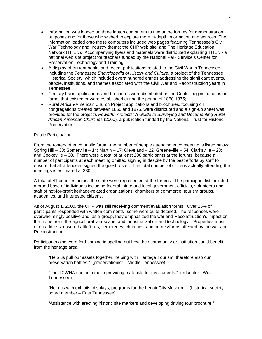- Information was loaded on three laptop computers to use at the forums for demonstration purposes and for those who wished to explore more in-depth information and sources. The information loaded onto these computers included web pages featuring Tennessee's Civil War Technology and Industry theme; the CHP web site, and The Heritage Education Network (THEN). Accompanying flyers and materials were distributed explaining THEN - a national web site project for teachers funded by the National Park Service's Center for Preservation Technology and Training;
- A display of current books and recent publications related to the Civil War in Tennessee including the *Tennessee Encyclopedia of History and Culture*, a project of the Tennessee Historical Society, which included overa hundred entries addressing the significant events, people, institutions, and themes associated with the Civil War and Reconstruction years in Tennessee;
- Century Farm applications and brochures were distributed as the Center begins to focus on farms that existed or were established during the period of 1860-1875;
- Rural African-American Church Project applications and brochures, focusing on congregations created between 1860 and 1875, were distributed and a sign-up sheet was provided for the project's *Powerful Artifacts: A Guide to Surveying and Documenting Rural African-American Churches* (2000), a publication funded by the National Trust for Historic Preservation.

## Public Participation

From the rosters of each public forum, the number of people attending each meeting is listed below: Spring Hill – 33; Somerville – 14; Martin – 17; Cleveland – 22; Greeneville – 54; Clarksville – 28; and Cookeville – 38. There were a total of at least 206 participants at the forums, because a number of participants at each meeting omitted signing in despite by the best efforts by staff to ensure that all attendees signed the guest roster. The total number of citizens actually attending the meetings is estimated at 230.

A total of 41 counties across the state were represented at the forums. The participant list included a broad base of individuals including federal, state and local government officials, volunteers and staff of not-for-profit heritage-related organizations, chambers of commerce, tourism groups, academics, and interested citizens.

As of August 1, 2000, the CHP was still receiving comment/evaluation forms. Over 25% of participants responded with written comments--some were quite detailed. The responses were overwhelmingly positive and, as a group, they emphasized the war and Reconstruction's impact on the home front, the agricultural landscape, and industrialization and technology. Properties most often addressed were battlefields, cemeteries, churches, and homes/farms affected by the war and Reconstruction.

Participants also were forthcoming in spelling out how their community or institution could benefit from the heritage area:

"Help us pull our assets together, helping with Heritage Tourism, therefore also our preservation battles." (preservationist – Middle Tennessee)

"The TCWHA can help me in providing materials for my students." (educator –West Tennessee)

"Help us with exhibits, displays, programs for the Lenoir City Museum." (historical society board member – East Tennessee)

"Assistance with erecting historic site markers and developing driving tour brochure."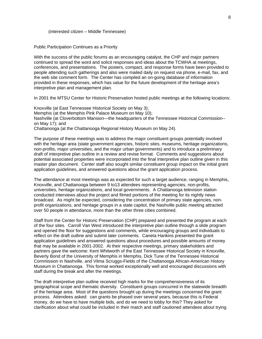#### (interested citizen – Middle Tennessee)

## Public Participation Continues as a Priority

With the success of the public forums as an encouraging catalyst, the CHP and major partners continued to spread the word and solicit responses and ideas about the TCWHA at meetings, conferences, and presentations. The posters, compact, and response forms have been provided to people attending such gatherings and also were mailed daily on request via phone, e-mail, fax, and the web site comment form. The Center has compiled an on-going database of information provided in these responses, which has value for the future development of the heritage area's interpretive plan and management plan.

In 2001 the MTSU Center for Historic Preservation hosted public meetings at the following locations:

Knoxville (at East Tennessee Historical Society on May 3); Memphis (at the Memphis Pink Palace Museum on May 10); Nashville (at Cloverbottom Mansion—the headquarters of the Tennessee Historical Commission- on May 17); and Chattanooga (at the Chattanooga Regional History Museum on May 24).

The purpose of these meetings was to address the major constituent groups potentially involved with the heritage area (state government agencies, historic sites, museums, heritage organizations, non-profits, major universities, and the major urban governments) and to introduce a preliminary draft of interpretive plan outline in a review and revise format. Comments and suggestions about potential associated properties were incorporated into the final interpretive plan outline given in this master plan document. Center staff also sought similar constituent group impact on the initial grant application guidelines, and answered questions about the grant application process.

The attendance at most meetings was as expected for such a target audience, ranging in Memphis, Knoxville, and Chattanooga between 9 to13 attendees representing agencies, non-profits, universities, heritage organizations, and local governments. A Chattanooga television station conducted interviews about the project and filmed portions of the meeting for its nightly news broadcast. As might be expected, considering the concentration of primary state agencies, nonprofit organizations, and heritage groups in a state capitol, the Nashville public meeting attracted over 50 people in attendance, more than the other three cities combined.

Staff from the Center for Historic Preservation (CHP) prepared and presented the program at each of the four sites. Carroll Van West introduced the interpretive plan outline through a slide program and opened the floor for suggestions and comments, while encouraging groups and individuals to reflect on the draft outline and submit later comments. Caneta Hankins presented the grant application guidelines and answered questions about procedures and possible amounts of money that may be available in 2001-2002. At their respective meetings, primary stakeholders and partners gave the welcome: Kent Whitworth of the East Tennessee Historical Society in Knoxville, Beverly Bond of the University of Memphis in Memphis, Dick Tune of the Tennessee Historical Commission in Nashville, and Vilma Scruggs-Fields of the Chattanooga African-American History Museum in Chattanooga. This format worked exceptionally well and encouraged discussions with staff during the break and after the meetings.

The draft interpretive plan outline received high marks for the comprehensiveness of its geographical scope and thematic diversity. Constituent groups concurred in the statewide breadth of the heritage area. Most of the questions brought up during the meetings concerned the grant process. Attendees asked: can grants be phased over several years, because this is Federal money, do we have to have multiple bids, and do we need to lobby for this? They asked for clarification about what could be included in their match and staff cautioned attendees about trying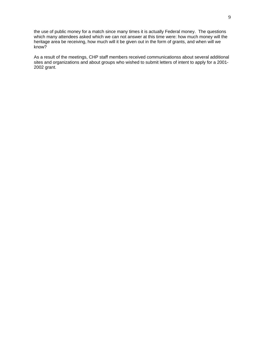the use of public money for a match since many times it is actually Federal money. The questions which many attendees asked which we can not answer at this time were: how much money will the heritage area be receiving, how much will it be given out in the form of grants, and when will we know?

As a result of the meetings, CHP staff members received communicationss about several additional sites and organizations and about groups who wished to submit letters of intent to apply for a 2001- 2002 grant.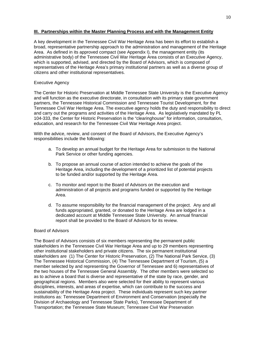# **III. Partnerships within the Master Planning Process and with the Management Entity**

A key development in the Tennessee Civil War Heritage Area has been its effort to establish a broad, representative partnership approach to the administration and management of the Heritage Area. As defined in its approved compact (see Appendix I), the management entity (its administrative body) of the Tennessee Civil War Heritage Area consists of an Executive Agency, which is supported, advised, and directed by the Board of Advisors, which is composed of representatives of the Heritage Area's primary institutional partners as well as a diverse group of citizens and other institutional representatives.

# Executive Agency

The Center for Historic Preservation at Middle Tennessee State University is the Executive Agency and will function as the executive directorate, in consultation with its primary state government partners, the Tennessee Historical Commission and Tennessee Tourist Development, for the Tennessee Civil War Heritage Area. The executive agency holds the duty and responsibility to direct and carry out the programs and activities of the Heritage Area. As legislatively mandated by PL 104-333, the Center for Historic Preservation is the "clearinghouse" for information, consultation, education, and research for the Tennessee Civil War Heritage Area project.

With the advice, review, and consent of the Board of Advisors, the Executive Agency's responsibilities include the following:

- a. To develop an annual budget for the Heritage Area for submission to the National Park Service or other funding agencies.
- b. To propose an annual course of action intended to achieve the goals of the Heritage Area, including the development of a prioritized list of potential projects to be funded and/or supported by the Heritage Area.
- c. To monitor and report to the Board of Advisors on the execution and administration of all projects and programs funded or supported by the Heritage Area.
- d. To assume responsibility for the financial management of the project. Any and all funds appropriated, granted, or donated to the Heritage Area are lodged in a dedicated account at Middle Tennessee State University. An annual financial report shall be provided to the Board of Advisors for its review.

## Board of Advisors

The Board of Advisors consists of six members representing the permanent public stakeholders in the Tennessee Civil War Heritage Area and up to 29 members representing other institutional stakeholders and private citizens. The six permanent institutional stakeholders are (1) The Center for Historic Preservation, (2) The National Park Service, (3) The Tennessee Historical Commission, (4) The Tennessee Department of Tourism, (5) a member selected by and representing the Governor of Tennessee and 6) representatives of the two houses of the Tennessee General Assembly. The other members were selected so as to achieve a board that is diverse and representative of the state by race, gender, and geographical regions. Members also were selected for their ability to represent various disciplines, interests, and areas of expertise, which can contribute to the success and sustainability of the Heritage Area project. These individuals represent such key partner institutions as: Tennessee Department of Environment and Conservation (especially the Division of Archaeology and Tennessee State Parks), Tennessee Department of Transportation; the Tennessee State Museum; Tennessee Civil War Preservation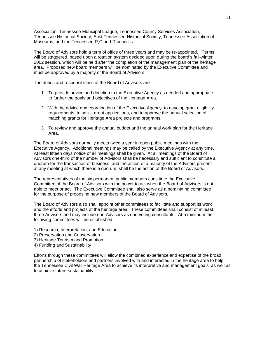Association, Tennessee Municipal League, Tennessee County Services Association, Tennessee Historical Society, East Tennessee Historical Society, Tennessee Association of Museums, and the Tennessee R,C and D councils.

The Board of Advisors hold a term of office of three years and may be re-appointed. Terms will be staggered, based upon a rotation system decided upon during the board's fall-winter 2002 session, which will be held after the completion of the management plan of the heritage area. Proposed new board members will be nominated by the Executive Committee and must be approved by a majority of the Board of Advisors.

The duties and responsibilities of the Board of Advisors are:

- 1. To provide advice and direction to the Executive Agency as needed and appropriate to further the goals and objectives of the Heritage Area.
- 2. With the advice and coordination of the Executive Agency, to develop grant eligibility requirements, to solicit grant applications, and to approve the annual selection of matching grants for Heritage Area projects and programs.
- 3. To review and approve the annual budget and the annual work plan for the Heritage Area.

The Board of Advisors normally meets twice a year in open public meetings with the Executive Agency. Additional meetings may be called by the Executive Agency at any time. At least fifteen days notice of all meetings shall be given. At all meetings of the Board of Advisors one-third of the number of Advisors shall be necessary and sufficient to constitute a quorum for the transaction of business, and the action of a majority of the Advisors present at any meeting at which there is a quorum, shall be the action of the Board of Advisors.

The representatives of the six permanent public members constitute the Executive Committee of the Board of Advisors with the power to act when the Board of Advisors is not able to meet or act. The Executive Committee shall also serve as a nominating committee for the purpose of proposing new members of the Board of Advisors.

The Board of Advisors also shall appoint other committees to facilitate and support its work and the efforts and projects of the heritage area. These committees shall consist of at least three Advisors and may include non-Advisors as non-voting consultants. At a minimum the following committees will be established:

- 1) Research, Interpretation, and Education
- 2) Preservation and Conservation
- 3) Heritage Tourism and Promotion
- 4) Funding and Sustainability

Efforts through these committees will allow the combined experience and expertise of the broad partnership of stakeholders and partners involved with and interested in the heritage area to help the Tennessee Civil War Heritage Area to achieve its interpretive and management goals, as well as to achieve future sustainability.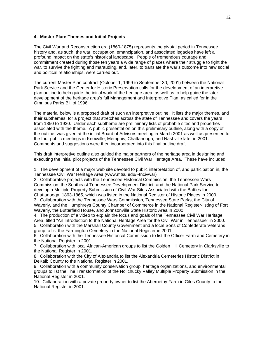# **4. Master Plan: Themes and Initial Projects**

The Civil War and Reconstruction era (1860-1875) represents the pivotal period in Tennessee history and, as such, the war, occupation, emancipation, and associated legacies have left a profound impact on the state's historical landscape. People of tremendous courage and commitment created during those ten years a wide range of places where their struggle to fight the war, to survive the fighting and marauding, and, later, to translate the war's outcome into new social and political relationships, were carried out.

The current Master Plan contract (October 1, 1999 to September 30, 2001) between the National Park Service and the Center for Historic Preservation calls for the development of an interpretive plan outline to help guide the initial work of the heritage area, as well as to help guide the later development of the heritage area's full Management and Interpretive Plan, as called for in the Omnibus Parks Bill of 1996.

The material below is a proposed draft of such an interpretive outline. It lists the major themes, and their subthemes, for a project that stretches across the state of Tennessee and covers the years from 1850 to 1930. Under each subtheme are preliminary lists of probable sites and properties associated with the theme. A public presentation on this preliminary outline, along with a copy of the outline, was given at the initial Board of Advisors meeting in March 2001 as well as presented to the four public meetings in Knoxville, Memphis, Chattanooga, and Nashville later in 2001. Comments and suggestions were then incorporated into this final outline draft.

This draft interpretive outline also guided the major partners of the heritage area in designing and executing the initial pilot projects of the Tennessee Civil War Heritage Area. These have included:

1. The development of a major web site devoted to public interpretation of, and participation in, the Tennessee Civil War Heritage Area (www.mtsu.edu/~tncivwar)

2. Collaborative projects with the Tennessee Historical Commission, the Tennessee Wars Commission, the Southeast Tennessee Development District, and the National Park Service to develop a Multiple Property Submission of Civil War Sites Associated with the Battles for Chattanooga, 1863-1865, which was listed in the National Register of Historic Places in 2000.

3. Collaboration with the Tennessee Wars Commission, Tennessee State Parks, the City of Waverly, and the Humphreys County Chamber of Commerce in the National Register-listing of Fort Waverly, the Butterfield House, and Johnsonville State Historic Area in 2000.

4. The production of a video to explain the focus and goals of the Tennessee Civil War Heritage Area, titled "An Introduction to the National Heritage Area for the Civil War in Tennessee" in 2000. 5. Collaboration with the Marshall County Government and a local Sons of Confederate Veterans group to list the Farmington Cemetery in the National Register in 2001.

6. Collaboration with the Tennessee Historical Commission to list the Officer Farm and Cemetery in the National Register in 2001.

7. Collaboration with local African-American groups to list the Golden Hill Cemetery in Clarksville to the National Register in 2001.

8. Collaboration with the City of Alexandria to list the Alexandria Cemeteries Historic District in DeKalb County to the National Register in 2001.

9. Collaboration with a community conservation group, heritage organizations, and environmental groups to list the The Transformation of the Nolichucky Valley Multiple Property Submission in the National Register in 2001.

10. Collaboration with a private property owner to list the Abernethy Farm in Giles County to the National Register in 2001.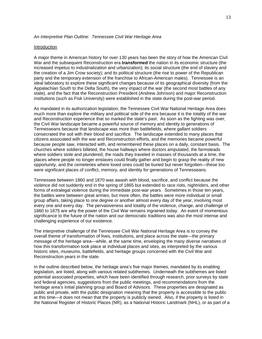## *An Interpretive Plan Outline: Tennessee Civil War Heritage Area*

## Introduction

A major theme in American history for over 130 years has been the story of how the American Civil War and the subsequent Reconstruction era **transformed** the nation in its economic structure (the increased impetus to industrialization and urbanization); its social structure (the end of slavery and the creation of a Jim Crow society); and its political structure (the rise to power of the Republican party and the temporary extension of the franchise to African-American males). Tennessee is an ideal laboratory to explore these significant changes because of its geographical diversity (from the Appalachian South to the Delta South), the very impact of the war (the second most battles of any state), and the fact that the Reconstruction President (Andrew Johnson) and major Reconstruction institutions (such as Fisk University) were established in the state during the post-war period.

As mandated in its authorization legislation, the Tennessee Civil War National Heritage Area does much more than explore the military and political side of the era because it is the totality of the war and Reconstruction experience that so marked the state's past. As soon as the fighting was over, the Civil War landscape became a powerful source of memory and identity to generations of Tennesseans because that landscape was more than battlefields, where gallant soldiers consecrated the soil with their blood and sacrifice. The landscape extended to many places that citizens associated with the war and Reconstruction efforts, and the memories became powerful because people saw, interacted with, and remembered these places on a daily, constant basis. The churches where soldiers billeted, the house hallways where doctors amputated, the farmsteads where soldiers stole and plundered, the roads they traveled in masses of thousands at a time, the places where people no longer enslaves could finally gather and begin to grasp the reality of new opportunity, and the cemeteries where loved ones could be buried but never forgotten—these too were significant places of conflict, memory, and identity for generations of Tennesseans.

Tennessee between 1860 and 1870 was awash with blood, sacrifice, and conflict because the violence did not suddenly end in the spring of 1865 but extended to race riots, nightriders, and other forms of extralegal violence during the immediate post-war years. Sometimes in those ten years, the battles were between great armies, but more often, the battles were more individual or small group affairs, taking place to one degree or another almost every day of the year, involving most every one and every day. The pervasiveness and totality of the violence, change, and challenge of 1860 to 1875 are why the power of the Civil War remains ingrained today. An event of momentous significance to the future of the nation and our democratic traditions was also the most intense and challenging experience of our existence.

The interpretive challenge of the Tennessee Civil War National Heritage Area is to convey the overall theme of transformation of lives, institutions, and place across the state—the primary message of the heritage area—while, at the same time, enveloping the many diverse narratives of how this transformation took place at individual places and sites, as interpreted by the various historic sites, museums, battlefields, and heritage groups concerned with the Civil War and Reconstruction years in the state.

In the outline described below, the heritage area's five major themes, mandated by its enabling legislation, are listed, along with various related subthemes. Underneath the subthemes are listed potential associated properties, which have been identified through research, prior surveys by state and federal agencies, suggestions from the public meetings, and recommendations from the heritage area's initial planning group and Board of Advisors. These properties are designated as public and private, with the public designation meaning that the property is accessible to the public at this time—it does not mean that the property is publicly owned. Also, if the property is listed in the National Register of Historic Places (NR), as a National Historic Landmark (NHL), or as part of a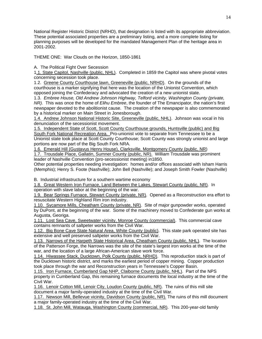National Register Historic District (NRHD), that designation is listed with its appropriate abbreviation. These potential associated properties are a preliminary listing, and a more complete listing for planning purposes will be developed for the mandated Management Plan of the heritage area in 2001-2002.

THEME ONE: War Clouds on the Horizon, 1850-1861

A. The Political Fight Over Secession

1.1. State Capitol, Nashville (public, NHL). Completed in 1859 the Capitol was where pivotal votes concerning secession took place.

1.2. Greene County Courthouse lawn, Greeneville (public, NRHD). On the grounds of the courthouse is a marker signifying that here was the location of the Unionist Convention, which opposed joining the Confederacy and advocated the creation of a new unionist state.

1.3. *Embree House, Old Andrew Johnson Highway, Telford vicinity, Washington County (private, NR).* This was once the home of *Elihu Embree*, the founder of The Emancipator, the nation's first newspaper devoted to the abolitionist cause. The creation of the newspaper is also commemorated by a historical marker on Main Street in Jonesborough.

1.4. Andrew Johnson National Historic Site, Greeneville (public, NHL). Johnson was vocal in his denunciation of the secessionist movement.

1.5. Independent State of Scott, Scott County Courthouse grounds, Huntsville (public) and Big South Fork National Recreation Area. Pro-unionist vote to separate from Tennessee to be a Unionist state took place at Scott County Courthouse; Scott County was strongly unionist and large portions are now part of the Big South Fork NRA.

1.6. Emerald Hill (Gustavus Henry House), Clarksville, Montgomery County (public, NR)

1.7. Trousdale Place, Gallatin, Sumner County (public, NR). William Trousdale was prominent leader of Nashville Convention (pro-secessionist meeting) in1850.

Other potential properties needing investigation: homes and/or offices associatd with Isham Harris (Memphis); Henry S. Foote (Nashville); John Bell (Nashville); and Joseph Smith Fowler (Nashville)

B. Industrial infrastructure for a southern wartime economy

1.8. Great Western Iron Furnace, Land Between the Lakes, Stewart County (public, NR). In operation with slave labor at the beginning of the war.

1.9. Bear Springs Furnace, Stewart County (private, NR). Opened as a Reconstruction era effort to resuscitate Western Highland Rim iron industry.

1.10. Sycamore Mills, Cheatham County (private, NR). Site of major gunpowder works, operated by DuPont, at the beginning of the war. Some of the machinery moved to Confederate gun works at Augusta, Georiga.

1.11. Lost Sea Cave, Sweetwater vicinity, Monroe County (commercial). This commercial cave contains remnants of saltpeter works from the Civil War.

1.12. Big Bone Cave State Natural Area, White County (public). This state park operated site has extensive and well preserved saltpeter works from the Civil War.

1.13. Narrows of the Harpeth State Historical Area, Cheatham County (public, NHL). The location of the Patterson Forge, the Narrows was the site of the state's largest iron works at the time of the war, and the location of a large African-American slave work force.

1.14. Hiwassee Stack, Ducktown, Polk County (public, NRHD). This reproduction stack is part of the Ducktown historic district, and marks the earliest period of copper mining. Copper production took place through the war and Reconstruction years in Tennessee's Copper Basin.

1.15. Iron Furnace, Cumberland Gap NHP, Claiborne County (public, NHL). Part of the NPS property in Cumberland Gap, this remaining furnace documents the local industry at the time of the Civil War.

1.16. Lenoir Cotton Mill, Lenoir City, Loudon County (public, NR). The ruins of this mill site document a major family-operated industry at the time of the Civil War.

1.17. Newson Mill, Bellevue vicinity, Davidson County (public, NR). The ruins of this mill document a major family-operated industry at the time of the Civil War.

1.18. St. John Mill, Watauga, Washington County (commercial, NR). This 200-year-old family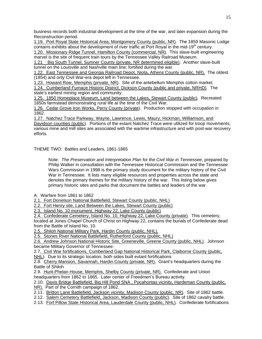business records both industrial development at the time of the war, and later expansion during the Reconstruction period.

1.19. Port Royal State Historical Area, Montgomery County (public, NR). The 1859 Masonic Lodge contains exhibits about the development of river traffic at Port Royal in the mid-19<sup>th</sup> century.

1.20. Missionary Ridge Tunnel, Hamilton County (commercial, NR). This slave-built engineering marvel is the site of frequent train tours by the Tennessee Valley Railroad Museum.

1.21 Big South Tunnel, Sumner County (private, NR determined eligible). Another slave-built tunnel on the Louisville and Nashville main line; fortified during the war.

1.22. East Tennessee and Georgia Railroad Depot, Niota, Athens County (public, NR). The oldest (1854) and only Civil War-era depot left in Tennessee.

1.23. Howard Row, Memphis (private, NR). Site of the antebellum Memphis cotton market. 1.24. Cumberland Furnace Historic District, Dickson County (public and private, NRHD). The state's earliest mining region and community.

1.25. 1850 Homeplace Museum, Land between the Lakes, Stewart County (public). Recreated 1850s farmstead demonstrating rural life at the time of the Civil War.

1.26. Cedar Grove Iron Works, Perry County (private). Production stopped with occupation in 1862.

1.27. Natchez Trace Parkway, Wayne, Lawrence, Lewis, Maury, Hickman, Williamson, and Davidson counties (public). Portions of the extant Natchez Trace were utilized for troop movements; various mine and mill sites are associated with the wartime infrastructure and with post-war recovery efforts.

THEME TWO: Battles and Leaders, 1861-1865

Note: *The Preservation and Interpretation Plan for the Civil War in Tennessee*, prepared by Philip Walker in consultation with the Tennessee Historical Commission and the Tennessee Wars Commission in 1998 is the primary study document for the military history of the Civil War in Tennessee. It lists many eligible resources and properties across the state and denotes the primary themes for the military history of the war. This listing below gives primary historic sites and parks that document the battles and leaders of the war.

A. Warfare from 1861 to 1862

2.1. Fort Donelson National Battlefield, Stewart County (public, NHL)

2.2. Fort Henry site, Land Between the Lakes, Stewart County (public)

2.3. Island No. 10 monument, Highway 22, Lake County (public)

2.4. Confederate Cemetery, Island No. 10, Highway 22, Lake County (private). This cemetery, located at Jones Chapel Church of Christ on Highway 22, contains the burials of Confederate dead from the Battle of Island No. 10.

2.5. Shiloh National Military Park, Hardin County (public, NHL).

2.5. Stones River National Battlefield, Rutherford County (public, NHL)

2.6. Andrew Johnson National Historic Site, Greeneville, Greene County (public, NHL). Johnson became Military Governor of Tennessee.

2.7. Civil War fortifications, Cumberland Gap National Historical Park, Claiborne County (public, NHL). Due to its strategic location, both sides built extant fortifications

2.8. Cherry Mansion, Savannah, Hardin County (private, NR). Grant's headquarters during the Battle of Shiloh

2.9. Hunt-Phelan House, Memphis, Shelby County (private, NR). Confederate and Union headquarters from 1862 to 1865. Later center of Freedmen's Bureau activity.

2.10. Davis Bridge Battlefield, Big Hill Pond SNA , Pocahontas vicinity, Hardeman County (public,

NR). Part of the Cornith campaign of 1862.

2.11. Britton Lane Battlefield, Jackson vicinity, Madison County (public, NR). Site of 1862 battle.

2.12. Salem Cemetery Battlefield, Jackson, Madison County (public). Site of 1862 cavalry battle.

2.13. Fort Pillow State Historical Area, Lauderdale County (public, NHL). Confederate fortifications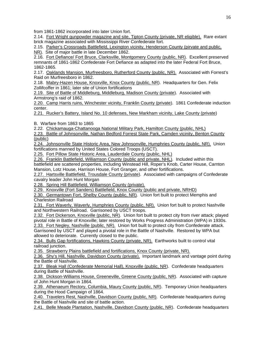from 1861-1862 incorporated into later Union fort.

2.14. Fort Wright gunpowder magazine and site, Tipton County (private, NR eligible). Rare extant brick magazine associated with Mississippi River Confederate fort.

2.15. Parker's Crossroads Battlefield, Lexington vicinity, Henderson County (pirvate and public,

NR). Site of major battle in late December 1862.

2.16. Fort Defiance/ Fort Bruce, Clarksville, Montgomery County (public, NR). Excellent preserved remnants of 1861-1862 Confederate Fort Defiance as adapted into the later Federal Fort Bruce, 1862-1865.

2.17. Oaklands Mansion, Murfreesboro, Rutherford County (public, NR). Associated with Forrest's Raid on Murfreesboro in 1862.

2.18. Mabry-Hazen House, Knoxville, Knox County (public, NR). Headquarters for Gen. Felix Zollifcoffer in 1861; later site of Union fortifications

2.19. Site of Battle of Middleburg, Middleburg, Madison County (private). Associated with Armstrong's raid of 1862.

2.20. Camp Harris ruins, Winchester vicinity, Franklin County (private). 1861 Confederate induction center.

2.21. Rucker's Battery, Island No. 10 defenses, New Markham vicinity, Lake County (private)

B. Warfare from 1863 to 1865

2.22. Chickamauga-Chattanooga National Military Park, Hamilton County (public, NHL)

2.23. Battle of Johnsonville, Nathan Bedford Forrest State Park, Camden vicinity, Benton County (public)

2.24. Johnsonville State Historic Area, New Johnsonville, Humphries County (public, NR). Union fortifications manned by United States Colored Troops (USCT).

2.25. Fort Pillow State Historic Area, Lauderdale County (public, NHL)

2.26. Franklin Battlefield, Williamson County (public and private, NHL). Included within this battlefield are scattered properties, including Winstead Hill, Roper's Knob, Carter House, Carnton Mansion, Lotz House, Harrison House, Fort Granger, and other fortifications.

2.27. Hartsville Battlefield, Trousdale County (private). Associated with campaigns of Confederate cavalry leader John Hunt Morgan

2.28. Spring Hill Battlefield, Williamson County (private).

2.29. Knoxville (Fort Sanders) Battlefield, Knox County (public and private, NRHD)

2.30. Germantown Fort, Shelby County (public, NR). Union fort built to protect Memphis and Charleston Railroad

2.31. Fort Waverly, Waverly, Humphries County (public, NR). Union fort built to protect Nashville and Northwestern Railroad. Garrisoned by USCT troops.

2.32. Fort Dickerson, Knoxville (public, NR). Union fort built to protect city from river attack; played pivotal role in Battle of Knoxville; later restored by Works Progress Administration (WPA) in 1930s. 2.33. Fort Negley, Nashville (public, NR). Union fort built to protect city from Confederate attack.

Garrisoned by USCT and played a pivotal role in the Battle of Nashville. Restored by WPA but allowed to deteriorate. Currently closed to the public.

2.34. Bulls Gap fortifications, Hawkins County (private, NR). Earthworks built to control vital railroad junction.

2.35. Strawberry Plains battlefield and fortifications, Knox County (private, NR).

2.36. Shy's Hill, Nashville, Davidson County (private). Important landmark and vantage point during the Battle of Nashville.

2.37. Bleak Hall (Confederate Memorial Hall), Knoxville (public, NR). Confederate headquarters during Battle of Nashville.

2.38. Dickson-Williams House, Greeneville, Greene County (public, NR). Associated with capture of John Hunt Morgan in 1864.

2.39. Athenaeum Rectory, Columbia, Maury County (public, NR). Temporary Union headquarters during the Hood Campaign of 1864.

2.40. Travelers Rest, Nashville, Davidson County (public, NR). Confederate headquarters during the Battle of Nashville and site of battle action.

2.41. Belle Meade Plantation, Nashville, Davidson County (public, NR). Confederate headquarters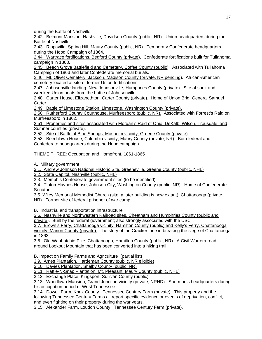during the Battle of Nashville.

2.42. Belmont Mansion, Nashville, Davidson County (public, NR). Union headquarters during the Battle of Nashville.

2.43. Rippavilla, Spring Hill, Maury County (public, NR). Temporary Confederate headquarters during the Hood Campaign of 1864.

2.44. Wartrace fortifications, Bedford County (private). Confederate fortifications built for Tullahoma campaign in 1863.

2.45. Beech Grove Battlefield and Cemetery, Coffee County (public). Associated with Tullahoma Campaign of 1863 and later Confederate memorial burials.

2.46. Mt. Olivet Cemetery, Jackson, Madison County (private, NR pending). African-American cemetery located at site of former Union fortifications.

2.47. Johnsonville landing, New Johnsonville, Humphries County (private). Site of sunk and wrecked Union boats from the battle of Johnsonville.

2.48. Carter House, Elizabethton, Carter County (private). Home of Union Brig. General Samuel **Carter** 

2.49. Battle of Limestone Station, Limestone, Washington County (private).

2.50. Rutherford County Courthouse, Murfreesboro (public, NR). Associated with Forrest's Raid on Murfreesboro in 1862.

2.51. Properties and sites associated with Morgan's Raid of Ohio, DeKalb, Wilson, Trousdale, and Sumner counties (private).

2.52. Site of Battle of Blue Springs, Mosheim vicinity, Greene County (private)

2.53. Beechlawn House, Columbia vicinity, Maury County (private, NR). Both federal and Confederate headquarters during the Hood campaign.

THEME THREE: Occupation and Homefront, 1861-1865

A. Military government

3.1. Andrew Johnson National Historic Site, Greeneville, Greene County (public, NHL)

3.2. State Capitol, Nashville (public, NHL)

3.3. Memphis Confederate government sites (to be identified)

3.4 Tipton-Haynes House, Johnson City, Washington County (public, NR). Home of Confederate Senator

3.5 Wiley Memorial Methodist Church (site, a later building is now extant), Chattanooga (private, NR). Former site of federal prisoner of war camp.

B. Industrial and transportation infrastructure

3.6. Nashville and Northwestern Railroad sites, Cheatham and Humphries County (public and private). Built by the federal government; also strongly associated with the USCT.

3.7. Brown's Ferry, Chattanooga vicinity, Hamilton County (public) and Kelly's Ferry, Chattanooga

vicinity, Marion County (private). The story of the Cracker Line in breaking the siege of Chattanooga in 1863.

3.8. Old Wauhatchie Pike, Chattanooga, Hamilton County (public, NR). A Civil War era road around Lookout Mountain that has been converted into a hiking trail

B. Impact on Family Farms and Agriculture (partial list)

3.9. Ames Plantation, Hardeman County (public, NR eligible)

3.10. Davies Plantation, Shelby County (public, NR)

3.11. Rattle-N-Snap Plantation, Mt. Pleasant, Maury County (public, NHL)

3.12. Exchange Place, Kingsport, Sullivan County (public)

3.13. Woodlawn Mansion, Grand Junction vicinity (private, NRHD). Sherman's headquarters during his occupation period of West Tennessee

3.14. Dowell Farm, Knox County. Tennessee Century Farm (private). This property and the following Tennessee Century Farms all report specific evidence or events of deprivation, conflict, and even fighting on their property during the war years.

3.15. Alexander Farm, Loudon County. Tennessee Century Farm (private).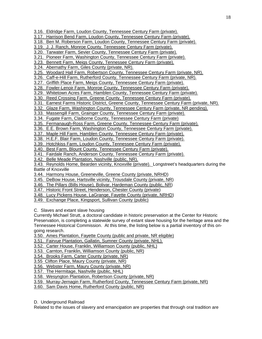- 3.16. Eldridge Farm, Loudon County, Tennessee Century Farm (private).
- 3.17. Harrison Bend Farm, Loudon County, Tennessee Century Farm (private).
- 3.18. Ben M. Roberson Farm, Loudon County, Tennessee Century Farm (private).
- 3.19. J. J. Ranch, Monroe County, Tennessee Century Farm (private).
- 3.20. Tarwater Farm, Sevier County, Tennessee Century Farm (private).
- 3.21. Pioneer Farm, Washington County, Tennessee Century Farm (private).
- 3.23. Bennett Farm, Meigs County, Tennessee Century Farm (private).
- 3.24. Abernathy Farm, Giles County (private, NR).
- 3.25. Woodard Hall Farm, Robertson County, Tennessee Century Farm (private, NR).
- 3.26. Caff-e-Hill Farm, Rutherford County, Tennessee Century Farm (private, NR).
- 3.27. Griffith Place Farm, Meigs County, Tennessee Century Farm (private).
- 3.28. Fowler-Lenoir Farm, Monroe County, Tennessee Century Farm (private).
- 3.29. Whitetown Acres Farm, Hamblen County, Tennessee Century Farm (private).
- 3.30. Reed Crossing Farm, Greene County, Tennessee Century Farm (private).
- 3.31. Earnest Farms Historic District, Greene County, Tennessee Century Farm (private, NR).
- 3.32. Glaze Farm, Washington County, Tennessee Century Farm (private, NR pending).
- 3.33. Massengill Farm, Grainger County, Tennessee Century Farm (private).
- 3.34. Fugate Farm, Claiborne County, Tennessee Century Farm (private)
- 3.35. Fermanaugh-Ross Farm, Greene County, Tennessee Century Farm (private).
- 3.36. E.E. Brown Farm, Washington County, Tennessee Century Farm (private).
- 3.37. Maple Hill Farm, Hamblen County, Tennessee Century Farm (private).
- 3.38. H.E.F. Blair Farm, Loudon County, Tennessee Century Farm (private).
- 3.39. Hotchkiss Farm, Loudon County, Tennessee Century Farm (private).
- 3.40. Best Farm, Blount County, Tennessee Century Farm (private).
- 3.41. Fairdale Ranch, Anderson County, Tennessee Century Farm (private).
- 3.42. Belle Meade Plantation, Nashville (public, NR).
- 3.43. Reynolds Home, Bearden vicinity, Knoxville (private). Longstreet's headquarters during the Battle of Knoxville
- 3.44. Harmony House, Greeneville, Greene County (private, NRHD)
- 3.45. DeBow House, Hartsville vicinity, Trousdale County (private, NR)
- 3.46. The Pillars (Bills House), Bolivar, Hardeman County (public, NR)
- 3.47. Historic Front Street, Henderson, Chester County (private)
- 3.48. Lucy Pickens House, LaGrange, Fayette County (private, NRHD)
- 3.49. Exchange Place, Kingsport, Sullivan County (public)
- C. Slaves and extant slave housing
- Currently Michael Strutt, a doctoral candidate in historic preservation at the Center for Historic Preservation, is completing a statewide survey of extant slave housing for the heritage area and the Tennessee Historical Commission. At this time, the listing below is a partial inventory of this ongoing research.
- 3.50. Ames Plantation, Fayette County (public and private, NR eligible)
- 3.51. Fairvue Plantation, Gallatin, Sumner County (private, NHL).
- 3.52. Carter House, Franklin, Williamson County (public, NHL)
- 3.53. Carnton, Franklin, Williamson County (public, NR)
- 3.54. Brooks Farm, Carter County (private, NR)
- 3.55 Clifton Place, Maury County (private, NR)
- 3.56. Webster Farm, Maury County (private, NR)
- 3.57. The Hermitage, Nashville (public, NHL)
- 3.58. Wesyngton Plantation, Robertson County (private, NR)
- 3.59. Murray-Jernagin Farm, Rutherford County, Tennessee Century Farm (private, NR)
- 3.60. Sam Davis Home, Rutherford County (public, NR)

# D. Underground Railroad

Related to the issues of slavery and emancipation are properties that through oral tradition are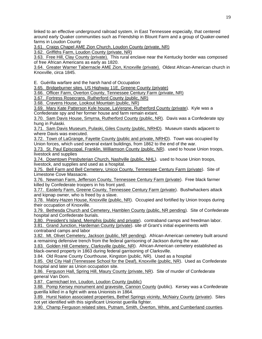linked to an effective underground railroad system, in East Tennessee especially, that centered around early Quaker communities such as Friendship in Blount Farm and a group of Quaker-owned farms in Loudon County

3.61. Craigs Chapel AME Zion Church, Loudon County (private, NR)

3.62. Griffiths Farm, Loudon County (private, NR)

3.63. Free Hill, Clay County (private). This rural enclave near the Kentucky border was composed of free African Americans as early as 1820.

3.64. Greater Warner Tabernacle AME Zion, Knoxville (private). Oldest African-American church in Knoxville, circa 1845.

E. Guérilla warfare and the harsh hand of Occupation

3.65. Bridgeburner sites, US Highway 11E, Greene County (private)

3.66. Officer Farm, Overton County, Tennessee Century Farm (private, NR)

3.67. Fortress Rosecrans, Rutherford County (public, NR)

3.68. Cravens House, Lookout Mountain (public, NR)

3.69. Mary Kate Patterson Kyle house, LaVergne, Rutherford County (private). Kyle was a Confederate spy and her former house and farm remain extant.

3.70. Sam Davis House, Smyrna, Rutherford County (public, NR). Davis was a Confederate spy hung in Pulaski.

3.71. Sam Davis Museum, Pulaski, Giles County (public, NRHD). Museum stands adjacent to where Davis was executed.

3.72. Town of LaGrange, Fayette County (public and private, NRHD). Town was occupied by Union forces, which used several extant buildings, from 1862 to the end of the war.

3.73. St. Paul Episcopal, Franklin, Williamson County (public, NR). used to house Union troops, livestock and supplies

3.74. Downtown Presbyterian Church, Nashville (public, NHL). used to house Union troops, livestock, and supplies and used as a hospital.

3.75. Bell Farm and Bell Cemetery, Unicoi County, Tennessee Century Farm (private). Site of Limestone Cove Massacre.

3.76. Newman Farm, Jefferson County, Tennessee Century Farm (private). Free black farmer killed by Confederate troopers in his front yard.

3.77. Easterly Farm, Greene County, Tennessee Century Farm (private). Bushwhackers attack and kipnap owner, who is freed by a slave.

3.78. Mabry-Hazen House, Knoxville (public, NR). Occupied and fortified by Union troops during their occupation of Knoxville.

3.79. Bethesda Church and Cemetery, Hamblen County (public, NR pending). Site of Confederate hospital and Confederate burials.

3.80. President's Island, Memphis (public and private). contraband camps and freedman labor. 3.81. Grand Junction, Hardeman County (private). site of Grant's initial experiments with contraband camps and labor

3.82. Mt. Olivet Cemetery, Jackson (public, NR pending). African-American cemetery built around a remaining defensive trench from the federal garrisoning of Jackson during the war.

3.83. Golden Hill Cemetery, Clarksville (public, NR). African-American cemetery established as black-owned property in 1863 during federal garrisoning of Clarksville.

3.84. Old Roane County Courthouse, Kingston (public, NR). Used as a hospital

3.85. Old City Hall (Tennessee School for the Deaf), Knoxville (public, NR). Used as Confederate hospital and later as Union occupation site.

3.86. Ferguson Hall, Spring Hill, Maury County (private, NR). Site of murder of Confederate general Van Dorn.

3.87. Carmichael Inn, Loudon, Loudon County (public)

3.88. Pomp Kersey monument and gravesite, Cannon County (public). Kersey was a Confederate guerilla killed in a fight with area Unionists in 1864.

3.89. Hurst Nation associated properties, Bethel Springs vicinity, McNairy County (private). Sites not yet identified with this significant Unionist guerilla fighter.

3.90. Champ Ferguson related sites, Putnam, Smith, Overton, White, and Cumberland counties.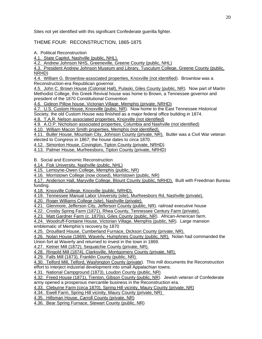Sites not yet identified with this significant Confederate guerilla fighter.

THEME FOUR: RECONSTRUCTION, 1865-1875

A. Political Reconstruction

4.1. State Capitol, Nashville (public, NHL).

4.2. Andrew Johnson NHS, Greeneville, Greene County (public, NHL)

4.3. President Andrew Johnson Museum and Library, Tusculum College, Greene County (public, NRHD)

4.4. William G. Brownlow-associated properties, Knoxville (not identified). Brownlow was a Reconstruction-era Republican governor.

4.5. John C. Brown House (Colonial Hall), Pulaski, Giles County (public, NR). Now part of Martin Methodist College, this Greek Revival house was home to Brown, a Tennessee governor and president of the 1870 Constitutional Convention

4.6. Gideon Pillow house, Victorian Village, Memphis (private, NRHD)

4.7. U.S. Custom House, Knoxville (pubic, NR). Now home to the East Tennessee Historical Society, the old Custom House was finished as a major federal office building in 1874.

4.8. T.A.R. Nelson associated properties, Knoxville (not identified)

4.9. A.O.P. Nicholson associated properties, Columbia and Nashville (not identified)

4.10. William Macon Smith properties, Memphis (not identified).

4.11. Butler House, Mountain City, Johnson County (private, NR). Butler was a Civil War veteran elected to Congress in 1867; the house dates to circa 1870.

4.12. Simonton House, Covington, Tipton County (private, NRHD).

4.13. Palmer House, Murfreesboro, Tipton County (private, NRHD)

B. Social and Economic Reconstruction

4.14. Fisk University, Nashville (public, NHL)

4.15. Lemoyne-Owen College, Memphis (public, NR)

4.16. Morristown College (now closed), Morristown (public, NR)

4.17. Anderson Hall, Maryville College, Blount County (public, NRHD). Built with Freedman Bureau funding.

4.18. Knoxville College, Knoxville (public, NRHD).

4.19. Tennessee Manual Labor University (site), Murfreesboro Rd, Nashville (private).

4.20. Roger Williams College (site), Nashville (private).

4.21. Glenmore, Jefferson City, Jefferson County (public, NR). railroad executive house

4.22. Crosby Spring Farm (1871), Rhea County, Tennessee Century Farm (private).

4.23. Matt Gardner Farm (c. 1870s), Giles County (public, NR). African-American farm.

4.24. Woodruff-Fontaine House, Victorian Village, Memphis (public, NR). Large mansion

emblematic of Memphis's recovery by 1870

4.25. Drouillard House, Cumberland Furnace, Dickson County (private, NR).

4.26. Nolan House (1869), Waverly, Humphries County (public, NR). Nolan had commanded the Union fort at Waverly and returned to invest in the town in 1869.

4.27. Ketner Mill (1872), Sequatchie County (private, NR).

4.28. Ringold Mill (1874), Clarksville, Montgomery County (private, NR).

4.29. Falls Mill (1873), Franklin County (public, NR).

4.30. Telford Mill, Telford, Washington County (private). This mill documents the Reconstruction effort to interject industrial development into small Appalachian towns.

4.31. National Campground (1873), Loudon County (public, NR)

4.32. Freed House (1871), Trenton, Gibson County (public, NR). Jewish veteran of Confederate

army opened a prosperous mercantile business in the Reconstruction era.

4.33. Cleburne Farm (circa 1870), Spring Hill vicinity, Maury County (private, NR)

4.34. Ewell Farm, Spring Hill vicinity, Maury County (private, NR)

4.35. Hillsman House, Carroll County (private, NR)

4.36. Bear Spring Furnace, Stewart County (public, NR)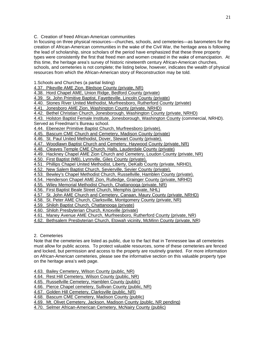# C. Creation of freed African-American communities

In focusing on three physical resources—churches, schools, and cemeteries—as barometers for the creation of African-American communities in the wake of the Civil War, the heritage area is following the lead of scholarship, since scholars of the period have emphasized that these three property types were consistently the first that freed men and women created in the wake of emancipation. At this time, the heritage area's survey of historic nineteenth century African-American churches, schools, and cemeteries is not complete; the listing below, however, indicates the wealth of physical resources from which the African-American story of Reconstruction may be told.

1.Schools and Churches (a partial listing)

4.37. Pikeville AME Zion, Bledsoe County (private, NR)

4.38. Hord Chapel AME, Union Ridge, Bedford County (private)

4.39. St. John Primitive Baptist, Fayetteville, Lincoln County (private)

4.40. Stones River United Methodist, Murfreesboro, Rutherford County (private)

4.41. Jonesboro AME Zion, Washington County (private, NRHD)

4.42. Bethel Christian Church, Jonesborough, Washington County (private, NRHD)

4.43. Holston Baptist Female Institute, Jonesborough, Washington County (commercial, NRHD). Served as Freedman's Bureau school.

4.44. Ebenezer Primitive Baptist Church, Murfreesboro (private).

4.45. Bascum CME Church and Cemetery, Madison County (private)

4.46. St. Paul United Methodist, Dover, Stewart County (private).

4.47. Woodlawn Baptist Church and Cemetery, Haywood County (private, NR)

4.48. Cleaves Temple CME Church, Halls, Lauderdale County (private)

4.49. Hackney Chapel AME Zion Church and Cemetery, Loudon County (private, NR)

4.50. First Baptist (MB), Lynnville, Giles County (private).

4.51. Phillips Chapel United Methodist, Liberty, DeKalb County (private, NRHD).

4.52. New Salem Baptist Church, Sevierville, Sevier County (private).

- 4.53. Bewley's Chapel Methodist Church, Russellville, Hamblen County (private).
- 4.54. Henderson Chapel AME Zion, Rutledge, Grainger County (private, NRHD)
- 4.55. Wiley Memorial Methodist Church, Chattanooga (private, NR)

4.56. First Baptist Beale Street Church, Memphis (private, NHL)

- 4.57. St. John AME Church and Cemetery, Canaan, Maury County (private, NRHD)
- 4.58. St. Peter AME Church, Clarksville, Montgomery County (private, NR)
- 4.59. Shiloh Baptist Church, Chattanooga (private)

4.60. Shiloh Presbyterian Church, Knoxville (private)

4.61. Maney Avenue AME Church, Murfreesboro, Rutherford County (private, NR)

4.62. Bethsalem Presbyterian Church, Etowah vicinity, McMinn County (private, NR)

# 2. Cemeteries

Note that the cemeteries are listed as public, due to the fact that in Tennessee law all cemeteries must allow for public access. To protect valuable resources, some of these cemeteries are fenced and locked, but permission and access to the property are routinely granted. For more information on African-American cemeteries, please see the informative section on this valuable property type on the heritage area's web page.

4.63. Bailey Cemetery, Wilson County (public, NR)

4.64. Rest Hill Cemetery, Wilson County (public, NR)

4.65. Russellville Cemetery, Hamblen County (public)

4.66. Pierce Chapel cemetery, Sullivan County (public, NR)

4.67. Golden Hill Cemetery, Clarksville (public, NR)

4.68. Bascum CME Cemetery, Madison County (public)

4.69. Mt. Olivet Cemetery, Jackson, Madison County (public, NR pending)

4.70. Selmer African-American Cemetery, McNairy County (public)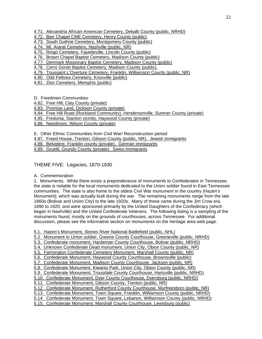4.71. Alexandria African-American Cemetery, Dekalb County (public, NRHD)

- 4.72. Barr Chapel CME Cemetery, Henry County (public)
- 4.73. South Guthrie Cemetery, Montgomery County (public)
- 4.74. Mt. Ararat Cemetery, Nashville (public, NR)
- 4.75. Ringo Cemetery, Fayetteville, Lincoln County (public)
- 4.76. Brown Chapel Baptist Cemetery, Madison County (public)
- 4.77. Denmark Missionary Baptist Cemetery, Madison County (public)
- 4.78. Cerro Gordo Baptist Cemetery, Madison County (public).
- 4.79. Toussaint L'Overture Cemetery, Franklin, Williamson County (public, NR)
- 4.80. Odd Fellows Cemetery, Knoxville (public)
- 4.81. Zion Cemetery, Memphis (public)
- D. Freedmen Communities
- 4.82. Free Hill, Clay County (private)
- 4.83. Promise Land, Dickson County (private)
- 4.84. Free Hill Road (Rockland Community), Hendersonville, Sumner County (private)
- 4.85. Fredonia, Stanton vicinity, Haywood County (private)
- 4.86. Needmore, Wilson County (private)
- E. Other Ethnic Communities from Civil War/ Reconstruction period:
- 4.87. Freed House, Trenton, Gibson County (public, NR). Jewish immigrants
- 4.88. Belvidere, Franklin county (private). German immigrants
- 4.89. Gruetli, Grundy County (private). Swiss immigrants
- THEME FIVE: Legacies, 1870-1930
- A. Commemoration

1. Monuments. While there exists a preponderance of monuments to Confederates in Tennessee, the state is notable for the local monuments dedicated to the Union soldier found in East Tennessee communities. The state is also home to the oldest Civil War monument in the country (Hazen's Monument), which was actually built during the war. The remaining monuments range from the late 1860s (Bolivar and Union City) to the late 1920s. Many of these came during the Jim Crow era, 1890 to 1920, and were sponsored primarily by the United Daughters of the Confederacy (which began in Nashville) and the United Confederate Veterans. The following listing is a sampling of the monuments found, mostly on the grounds of courthouses, across Tennessee. For additional discussion, please see the informative section on monuments on the heritage area web page.

- 5.1. Hazen's Monument, Stones River National Battlefield (public, NHL)
- 5.2. Monument to Union soldier, Greene County Courthouse, Greeneville (public, NRHD)
- 5.3. Confederate monument, Hardeman County Courthouse, Bolivar (public, NRHD)
- 5.4. Unknown Confederate Dead monument, Union City, Obion County (public, NR)
- 5.5. Farmington Confederate Cemetery Monument, Marshall County (public, NR)
- 5.6. Confederate Monument, Haywood County Courthouse, Brownsville (public)
- 5.7. Confederate Monument, Madison County Courthouse, Jackson (public, NR)
- 5.8. Confederate Monument, Kiwanis Park, Union City, Obion County (public, NR)
- 5.9. Confederate Monument, Trousdale County Courthouse, Hartsville (public, NRHD)
- 5.10. Confederate Monument, Dyer County Courthouse, Dyersburg (public, NRHD)
- 5.11. Confederate Monument, Gibson County, Trenton (public, NR)
- 5.12. Confederate Monument, Rutherford County Courthouse, Murfreesboro (public, NR)
- 5.13. Confederate Monument, Town Square, Franklin, Williamson County (public, NRHD)
- 5.14. Confederate Monument, Town Square,.Lebanon, Williamson County (public, NRHD)
- 5.15. Confederate Monument, Marshall County Courthouse, Lewisburg (public)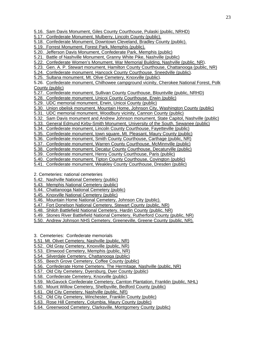- 5.16. Sam Davis Monument, Giles County Courthouse, Pulaski (public, NRHD)
- 5.17. Confederate Monument, Mulberry, Lincoln County (public).
- 5.18. Confederate Monument, Downtown Cleveland, Bradley County (public).
- 5.19. Forrest Monument, Forest Park, Memphis (public).
- 5.20. Jefferson Davis Monument, Confederate Park, Memphis (public)
- 5.21. Battle of Nashville Monument, Granny White Pike, Nashville (public)
- 5.22. Confederate Women's Monument, War Memorial Building, Nashville (public, NR).
- 5.23. Gen. A. P. Stewart monument, Hamilton County Courthouse, Chattanooga (public, NR)
- 5.24. Confederate monument, Hancock County Courthouse, Sneedville (public).
- 5.25. Sultana monument, Mt. Olive Cemetery, Knoxville (public).

5.26. Confederate monument, Chilhowee campground vicinity, Cherokee National Forest, Polk County (public)

- 5.27. Confederate monument, Sullivan County Courthouse, Blountville (public, NRHD)
- 5.28. Confederate monument, Unicoi County Courthouse, Erwin (public)
- 5.29. UDC memorial monument, Erwin, Unicoi County (public)
- 5.30. Union obelisk monument, Mountain Home, Johnson City, Washington County (public)
- 5.31. UDC memorial monument, Woodbury vicinity, Cannon County (public)
- 5.32. Sam Davis monument and Andrew Johnson monument, State Capitol, Nashville (public)
- 5.33. General Edmund Kirby-Smith Monument, University of the South, Sewanee (public)
- 5.34. Confederate monument, Lincoln County Courthouse, Fayetteville (public)
- 5.35. Confederate monument, town square, Mt. Pleasant, Maury County (public)
- 5.36. Confederate monument, Smith County Courthouse, Carthage (public, NR)
- 5.37. Confederate monument, Warren County Courthouse, McMinnville (public)
- 5.38. Confederate monument, Decatur County Courthouse, Decaturville (public)
- 5.39. Confederate monument, Henry County Courthouse, Paris (public)
- 5.40. Confederate monument, Tipton County Courthouse, Covington (public)
- 5.41. Confederate monument, Weakley County Courthouse, Dresden (public)
- 2. Cemeteries: national cemeteries
- 5.42. Nashville National Cemetery (public)
- 5.43. Memphis National Cemetery (public)
- 5.44. Chattanooga National Cemetery (public)
- 5.45. Knoxville National Cemetery (public)
- 5.46. Mountain Home National Cemetery, Johnson City (public).
- 5.47. Fort Donelson National Cemetery, Stewart County (public, NR)
- 5.48. Shiloh Battlefield National Cemetery, Hardin County (public, NR)
- 5.49. Stones River Battlefield National Cemetery, Rutherford County (public, NR)
- 5.50. Andrew Johnson NHS Cemetery, Greeneville, Greene County (public, NR).
- 3. Cemeteries: Confederate memorials
- 5.51. Mt. Olivet Cemetery, Nashville (public, NR)
- 5.52. Old Gray Cemetery, Knoxville (public, NR)
- 5.53. Elmwood Cemetery, Memphis (public, NR)
- 5.54. Silverdale Cemetery, Chattanooga (public)
- 5.55. Beech Grove Cemetery, Coffee County (public)
- 5.56. Confederate Home Cemetery, The Hermitage, Nashville (public, NR)
- 5.57. Old City Cemetery, Dyersburg, Dyer County (public)
- 5.58. Confederate Cemetery, Knoxville (public).
- 5.59. McGavock Confederate Cemetery, Carnton Plantation, Franklin (public, NHL)
- 5.60. Mount Willow Cemetery, Shelbyville, Bedford County (public)
- 5.61. Old City Cemetery, Nashville (public, NR)
- 5.62. Old City Cemetery, Winchester, Franklin County (public)
- 5.63. Rose Hill Cemetery, Columbia, Maury County (public)
- 5.64. Greenwood Cemetery, Clarksville, Montgomery County (public)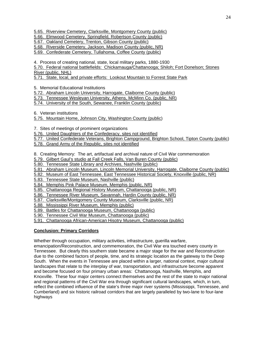- 5.65. Riverview Cemetery, Clarksville, Montgomery County (public)
- 5.66. Elmwood Cemetery, Springfield, Robertson County (public)
- 5.67. Oakland Cemetery, Trenton, Gibson County (public)
- 5.68. Riverside Cemetery, Jackson, Madison County (public, NR)
- 5.69. Confederate Cemetery, Tullahoma, Coffee County (public)
- 4. Process of creating national, state, local military parks, 1880-1930
- 5.70. Federal national battlefields: Chickamauga/Chattanooga; Shiloh; Fort Donelson; Stones River (public, NHL)
- 5.71. State, local, and private efforts: Lookout Mountain to Forrest State Park
- 5. Memorial Educational Institutions
- 5.72. Abraham Lincoln University, Harrogate, Claiborne County (public)
- 5.73. Tennessee Wesleyan University, Athens, McMinn Co. (public, NR)
- 5.74. University of the South, Sewanee, Franklin County (public)
- 6. Veteran institutions
- 5.75. Mountain Home, Johnson City, Washington County (public)
- 7. Sites of meetings of prominent organizations
- 5.76. United Daughters of the Confederacy, sites not identified
- 5.77. United Confederate Veterans, Brighton Campground, Brighton School, Tipton County (public) 5.78. Grand Army of the Republic, sites not identified
- 
- 8. Creating Memory: The art, artifactual and archival nature of Civil War commemoration
- 5.79. Gilbert Gaul's studio at Fall Creek Falls, Van Buren County (public)
- 5.80. Tennessee State Library and Archives, Nashville (public)
- 5.81. Abraham Lincoln Museum, Lincoln Memorial University, Harrogate, Claiborne County (public)
- 5.82. Museum of East Tennessee, East Tennessee Historical Society, Knoxville (public, NR)
- 5.83. Tennessee State Museum, Nashville (public)
- 5.84. Memphis Pink Palace Museum, Memphis (public, NR)
- 5.85. Chattanooga Regional History Museum, Chattanooga (public, NR)
- 5.86. Tennessee River Museum, Savannah, Hardin County (public, NR)
- 5.87. Clarksville/Montgomery County Museum, Clarksville (public, NR)
- 5.88. Mississippi River Museum, Memphis (public)
- 5.89. Battles for Chattanooga Museum, Chattanooga (public)
- 5.90. Tennessee Civil War Museum, Chattanooga (public)
- 5.91. Chattanooga African-American Hisotry Museum, Chattanooga (public)

# **Conclusion: Primary Corridors**

Whether through occupation, military activities, infrastructure, guerilla warfare,

emancipation/Reconstruction, and commemoration, the Civil War era touched every county in Tennessee. But clearly this southern state became a major stage for the war and Reconstruction due to the combined factors of people, time, and its strategic location as the gateway to the Deep South. When the events in Tennessee are placed within a larger, national context, major cultural landscapes that relate to the interplay of war, transportation, and infrastructure become apparent and become focused on four primary urban areas: Chattanooga, Nashville, Memphis, and Knoxville. These four major centers connect themselves and the rest of the state to major national and regional patterns of the Civil War era through significant cultural landscapes, which, in turn, reflect the combined influence of the state's three major river systems (Mississippi, Tennessee, and Cumberland) and six historic railroad corridors that are largely paralleled by two-lane to four-lane highways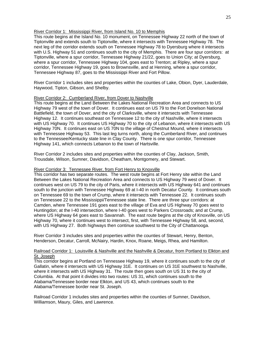## River Corridor 1: Mississippi River, from Island No. 10 to Memphis

This route begins at the Island No. 10 monument, on Tennessee Highway 22 north of the town of Tiptonville and extends south to Tiptonville, where it intersects with Tennessee Highway 78. The next leg of the corridor extends south on Tennessee Highway 78 to Dyersburg where it intersects with U.S. Highway 51 and continues south to the city of Memphis. There are four spur corridors: at Tiptonville, where a spur corridor, Tennessee Highway 21/22, goes to Union City; at Dyersburg, where a spur corridor, Tennessee Highway 104, goes east to Trenton; at Ripley, where a spur corridor, Tennessee Highway 19, goes to Brownsville, and at Henning, where a spur corridor, Tennessee Highway 87, goes to the Mississippi River and Fort Pillow.

River Corridor 1 includes sites and properties within the counties of Lake, Obion, Dyer, Lauderdale, Haywood, Tipton, Gibson, and Shelby.

## River Corridor 2: Cumberland River, from Dover to Nashville

This route begins at the Land Between the Lakes National Recreation Area and connects to US Highway 79 west of the town of Dover. It continues east on US 79 to the Fort Donelson National Battlefield, the town of Dover, and the city of Clarksville, where it intersects with Tennessee Highway 12. It continues southeast on Tennessee 12 to the city of Nashville, where it intersects with US Highway 70. It continues US Highway 70 to the city of Lebanon, where it intersects with US Highway 70N. It continues east on US 70N to the village of Chestnut Mound, where it intersects with Tennessee Highway 53. This last leg turns north, along the Cumberland River, and continues to the Tennessee/Kentucky state line in Clay County. There is one spur corridor, Tennessee Highway 141, which connects Lebanon to the town of Hartsville.

River Corridor 2 includes sites and properties within the counties of Clay, Jackson, Smith, Trousdale, Wilson, Sumner, Davidson, Cheatham, Montgomery, and Stewart.

## River Corridor 3: Tennessee River, from Fort Henry to Knoxville

This corridor has two separate routes. The west route begins at Fort Henry site within the Land Between the Lakes National Recreation Area and connects to US Highway 79 west of Dover. It continues west on US 79 to the city of Paris, where it intersects with US Highway 641 and continues south to the junction with Tennessee Highway 69 at I-40 in north Decatur County. It continues south on Tennessee 69 to the town of Crump, where it intersects with Tennessee 22. It continues south on Tennessee 22 to the Mississippi/Tennessee state line. There are three spur corridors: at Camden, where Tennessee 191 goes east to the village of Eva and US Highway 70 goes west to Huntingdon; at the I-40 intersection, where I-40 goes west to Parkers Crossroads; and at Crump, where US Highway 64 goes east to Savannah. The east route begins at the city of Knoxville, on US Highway 70, where it continues west to intersect, first, with Tennessee Highway 58, and, second, with US Highway 27. Both highways then continue southwest to the City of Chattanooga.

River Corridor 3 includes sites and properties within the counties of Stewart, Henry, Benton, Henderson, Decatur, Carroll, McNairy, Hardin, Knox, Roane, Meigs, Rhea, and Hamilton.

## Railroad Corridor 1: Louisville & Nashville and the Nashville & Decatur, from Portland to Elkton and St. Joseph

This corridor begins at Portland on Tennessee Highway 19, where it continues south to the city of Gallatin, where it intersects with US Highway 31E. It continues on US 31E southwest to Nashville, where it intersects with US Highway 31. The route then goes south on US 31 to the city of Columbia. At that point it divides into two routes: US 31, which continues south to the Alabama/Tennessee border near Elkton, and US 43, which continues south to the Alabama/Tennessee border near St. Joseph.

Railroad Corridor 1 includes sites and properties within the counties of Sumner, Davidson, Williamson, Maury, Giles, and Lawrence.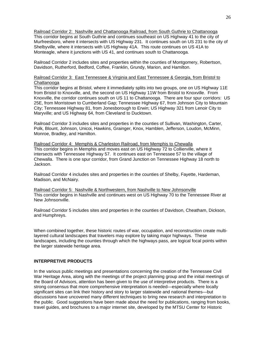Railroad Corridor 2: Nashville and Chattanooga Railroad, from South Guthrie to Chattanooga This corridor begins at South Guthrie and continues southeast on US Highway 41 to the city of Murfreesboro, where it intersects with US Highway 231. It continues south on US 231 to the city of Shelbyville, where it intersects with US Highway 41A. This route continues on US 41A to Monteagle, where it junctions with US 41, and continues south to Chattanooga.

Railroad Corridor 2 includes sites and properties within the counties of Montgomery, Robertson, Davidson, Rutherford, Bedford, Coffee, Franklin, Grundy, Marion, and Hamilton.

# Railroad Corridor 3: East Tennessee & Virginia and East Tennessee & Georgia, from Bristol to Chattanooga

This corridor begins at Bristol, where it immediately splits into two groups, one on US Highway 11E from Bristol to Knoxville, and, the second on US Highway 11W from Bristol to Knoxville. From Knoxville, the corridor continues south on US 11 to Chattanooga. There are four spur corridors: US 25E, from Morristown to Cumberland Gap; Tennessee Highway 67, from Johnson City to Mountain City; Tennessee Highway 81, from Jonesborough to Erwin; US Highway 321 from Lenoir City to Maryville; and US Highway 64, from Cleveland to Ducktown.

Railroad Corridor 3 includes sites and properties in the counties of Sullivan, Washington, Carter, Polk, Blount, Johnson, Unicoi, Hawkins, Grainger, Knox, Hamblen, Jefferson, Loudon, McMinn, Monroe, Bradley, and Hamilton.

Railroad Corridor 4: Memphis & Charleston Railroad, from Memphis to Chewalla This corridor begins in Memphis and moves east on US Highway 72 to Collierville, where it intersects with Tennessee Highway 57. It continues east on Tennessee 57 to the village of Chewalla. There is one spur corridor, from Grand Junction on Tennessee Highway 18 north to Jackson.

Railroad Corridor 4 includes sites and properties in the counties of Shelby, Fayette, Hardeman, Madison, and McNairy.

Railroad Corridor 5: Nashville & Northwestern, from Nashville to New Johnsonville This corridor begins in Nashville and continues west on US Highway 70 to the Tennessee River at New Johnsonville.

Railroad Corridor 5 includes sites and properties in the counties of Davidson, Cheatham, Dickson, and Humphreys.

When combined together, these historic routes of war, occupation, and reconstruction create multilayered cultural landscapes that travelers may explore by taking major highways. These landscapes, including the counties through which the highways pass, are logical focal points within the larger statewide heritage area.

# **INTERPRETIVE PRODUCTS**

In the various public meetings and presentations concerning the creation of the Tennessee Civil War Heritage Area, along with the meetings of the project planning group and the initial meetings of the Board of Advisors, attention has been given to the use of interpretive products. There is a strong consensus that more comprehensive interpretation is needed—especially where locally significant sites can link their history and story to larger statewide and national themes—but discussions have uncovered many different techniques to bring new research and interpretation to the public. Good suggestions have been made about the need for publications, ranging from books, travel guides, and brochures to a major internet site, developed by the MTSU Center for Historic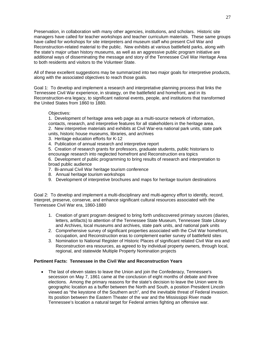Preservation, in collaboration with many other agencies, institutions, and scholars. Historic site managers have called for teacher workshops and teacher curriculum materials. These same groups have called for workshops for site interpreters and museum staff who present Civil War and Reconstruction-related material to the public. New exhibits at various battlefield parks, along with the state's major urban history museums, as well as an aggressive public program initiative are additional ways of disseminating the message and story of the Tennessee Civil War Heritage Area to both residents and visitors to the Volunteer State.

All of these excellent suggestions may be summarized into two major goals for interpretive products, along with the associated objectives to reach those goals.

Goal 1: To develop and implement a research and interpretative planning process that links the Tennessee Civil War experience, in strategy, on the battlefield and homefront, and in its Reconstruction-era legacy, to significant national events, people, and institutions that transformed the United States from 1860 to 1880.

## Objectives:

1. Development of heritage area web page as a multi-source network of information, contacts, research, and interpretive features for all stakeholders in the heritage area. 2. New interpretive materials and exhibits at Civil War-era national park units, state park units, historic house museums, libraries, and archives

- 3. Heritage education efforts for K-12
- 4. Publication of annual research and interpretive report

5. Creation of research grants for professors, graduate students, public historians to encourage research into neglected homefront and Reconstruction era topics

6. Development of public programming to bring results of research and interpretation to broad public audience

- 7. Bi-annual Civil War heritage tourism conference
- 8. Annual heritage tourism workshops
- 9. Development of interpretive brochures and maps for heritage tourism destinations

Goal 2: To develop and implement a multi-disciplinary and multi-agency effort to identify, record, interpret, preserve, conserve, and enhance significant cultural resources associated with the Tennessee Civil War era, 1860-1880

- 1. Creation of grant program designed to bring forth undiscovered primary sources (diaries, letters, artifacts) to attention of the Tennessee State Museum, Tennessee State Library and Archives, local museums and archives, state park units, and national park units
- 2. Comprehensive survey of significant properties associated with the Civil War homefront, occupation, and Reconstruction eras to complement earlier survey of battlefield sites
- 3. Nomination to National Register of Historic Places of significant related Civil War era and Reconstruction era resources, as agreed to by individual property owners, through local, regional, and statewide Multiple Property Nomination projects

# **Pertinent Facts: Tennessee in the Civil War and Reconstruction Years**

• The last of eleven states to leave the Union and join the Confederacy, Tennessee's secession on May 7, 1861 came at the conclusion of eight months of debate and three elections. Among the primary reasons for the state's decision to leave the Union were its geographic location as a buffer between the North and South, a position President Lincoln viewed as "the keystone of the Southern arch", and the inevitable threat of Federal invasion. Its position between the Eastern Theater of the war and the Mississippi River made Tennessee's location a natural target for Federal armies fighting an offensive war.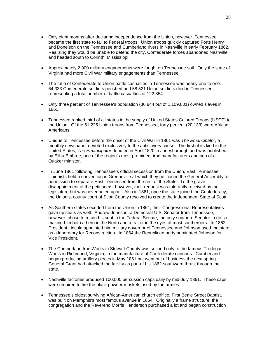- Only eight months after declaring independence from the Union, however, Tennessee became the first state to fall to Federal troops. Union troops quickly captured Forts Henry and Donelson on the Tennessee and Cumberland rivers in Nashville in early February 1862. Realizing they would be unable to defend the city, Confederate forces abandoned Nashville and headed south to Corinth, Mississippi.
- Approximately 2,900 military engagements were fought on Tennessee soil. Only the state of Virginia had more Civil War military engagements than Tennessee.
- The ratio of Confederate to Union battle casualties in Tennessee was nearly one to one. 64,333 Confederate soldiers perished and 58,521 Union soldiers died in Tennessee, representing a total number of battle casualties of 122,854.
- Only three percent of Tennessee's population (36,844 out of 1,109,801) owned slaves in 1861.
- Tennessee ranked third of all states in the supply of United States Colored Troops (USCT) to the Union. Of the 51,225 Union troops from Tennessee, forty percent (20,133) were African Americans.
- Unique to Tennessee before the onset of the Civil War in 1861 was *The Emancipator*, a monthly newspaper devoted exclusively to the antislavery cause. The first of its kind in the United States, *The Emancipator* debuted in April 1820 in Jonesborough and was published by Elihu Embree, one of the region's most prominent iron manufacturers and son of a Quaker minister.
- In June 1861 following Tennessee's official secession from the Union, East Tennessee Unionists held a convention in Greeneville at which they petitioned the General Assembly for permission to separate East Tennessee from the rest of the State. To the grave disappointment of the petitioners, however, their request was tolerantly received by the legislature but was never acted upon. Also in 1861, once the state joined the Confederacy, the Unionist county court of Scott County resolved to create the Independent State of Scott.
- As Southern states seceded from the Union in 1861, their Congressional Representatives gave up seats as well. Andrew Johnson, a Democrat U.S. Senator from Tennessee, however, chose to retain his seat in the Federal Senate, the only southern Senator to do so, making him both a hero in the North and a traitor in the eyes of most southerners. In 1862 President Lincoln appointed him military governor of Tennessee and Johnson used the state as a laboratory for Reconstruction. In 1864 the Republican party nominated Johnson for Vice President.
- The Cumberland Iron Works in Stewart County was second only to the famous Tredegat Works in Richmond, Virginia, in the manufacture of Confederate cannons. Cumberland began producing artillery pieces in May 1861 but went out of business the next spring. General Grant had attacked the facility as part of his 1862 southward thrust through the state.
- Nashville factories produced 100,000 percussion caps daily by mid-July 1861. These caps were required to fire the black powder muskets used by the armies.
- Tennessee's oldest surviving African-American church edifice, First Beale Street Baptist, was built on Memphis's most famous avenue in 1864. Originally a frame structure, the congregation and the Reverend Morris Henderson purchased a lot and began construction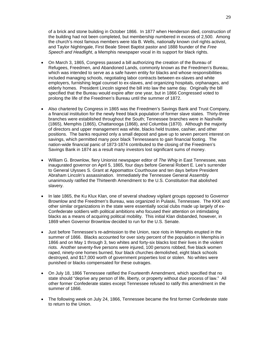of a brick and stone building in October 1866. In 1877 when Henderson died, construction of the building had not been completed, but membership numbered in excess of 2,500. Among the church's most famous members were Ida B. Wells, nationally known civil rights activist, and Taylor Nightingale, First Beale Street Baptist pastor and 1888 founder of the *Free Speech and Headlight*, a Memphis newspaper vocal in its support for black rights.

- On March 3, 1865, Congress passed a bill authorizing the creation of the Bureau of Refugees, Freedmen, and Abandoned Lands, commonly known as the Freedmen's Bureau, which was intended to serve as a safe haven entity for blacks and whose responsibilities included managing schools, negotiating labor contracts between ex-slaves and white employers, furnishing legal counsel to ex-slaves, and organizing hospitals, orphanages, and elderly homes. President Lincoln signed the bill into law the same day. Originally the bill specified that the Bureau would expire after one year, but in 1866 Congressed voted to prolong the life of the Freedmen's Bureau until the summer of 1872.
- Also chartered by Congress in 1865 was the Freedmen's Savings Bank and Trust Company, a financial institution for the newly freed black population of former slave states. Thirty-three branches were established throughout the South; Tennessee branches were in Nashville (1865), Memphis (1865), Chattanooga (1868), and Columbia (1870). Although the majority of directors and upper management was white, blacks held trustee, cashier, and other positions. The banks required only a small deposit and gave up to seven percent interest on savings, which permitted many poor black Tennesseans to gain financial footing. The nation-wide financial panic of 1873-1874 contributed to the closing of the Freedmen's Savings Bank in 1874 as a result many investors lost significant sums of money.
- William G. Brownlow, fiery Unionist newspaper editor of *The Whig* in East Tennessee, was inaugurated governor on April 5, 1865, four days before General Robert E. Lee's surrender to General Ulysses S. Grant at Appomattox Courthouse and ten days before President Abraham Lincoln's assassination. Immediately the Tennessee General Assembly unanimously ratified the Thirteenth Amendment to the U.S. Constitution that abolished slavery.
- In late 1865, the Ku Klux Klan, one of several shadowy vigilant groups opposed to Governor Brownlow and the Freedmen's Bureau, was organized in Pulaski, Tennessee. The KKK and other similar organizations in the state were essentially social clubs made up largely of ex-Confederate soldiers with political ambitions who focused their attention on intimidating blacks as a means of acquiring political mobility. This initial Klan disbanded, however, in 1869 when Governor Brownlow decided to run for the U.S. Senate.
- Just before Tennessee's re-admission to the Union, race riots in Memphis erupted in the summer of 1866. Blacks accounted for over sixty percent of the population in Memphis in 1866 and on May 1 through 3, two whites and forty-six blacks lost their lives in the violent riots. Another seventy-five persons were injured, 100 persons robbed, five black women raped, ninety-one homes burned, four black churches demolished, eight black schools destroyed, and \$17,000 worth of government properties lost or stolen. No whites were punished or blacks compensated for these outrages.
- On July 18, 1866 Tennessee ratified the Fourteenth Amendment, which specified that no state should "deprive any person of life, liberty, or property without due process of law." All other former Confederate states except Tennessee refused to ratify this amendment in the summer of 1866.
- The following week on July 24, 1866, Tennessee became the first former Confederate state to return to the Union.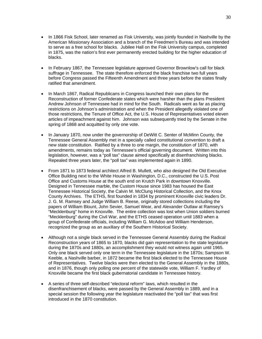- In 1866 Fisk School, later renamed as Fisk University, was jointly founded in Nashville by the American Missionary Association and a branch of the Freedmen's Bureau and was intended to serve as a free school for blacks. Jubilee Hall on the Fisk University campus, completed in 1875, was the nation's first ever permanently erected building for the higher education of blacks.
- In February 1867, the Tennessee legislature approved Governor Brownlow's call for black suffrage in Tennessee. The state therefore enforced the black franchise two full years before Congress passed the Fifteenth Amendment and three years before the states finally ratified that amendment.
- In March 1867, Radical Republicans in Congress launched their own plans for the Reconstruction of former Confederate states which were harsher than the plans President Andrew Johnson of Tennessee had in mind for the South. Radicals went as far as placing restrictions on Johnson's administration and when the President allegedly violated one of those restrictions, the Tenure of Office Act, the U.S. House of Representatives voted eleven articles of impeachment against him. Johnson was subsequently tried by the Senate in the spring of 1868 and acquitted by only one vote.
- In January 1870, now under the governorship of DeWitt C. Senter of McMinn County, the Tennessee General Assembly met in a specially called constitutional convention to draft a new state constitution. Ratified by a three to one margin, the constitution of 1870, with amendments, remains today as Tennessee's official governing document. Written into this legislation, however, was a "poll tax" clause aimed specifically at disenfranchising blacks. Repealed three years later, the "poll tax" was implemented again in 1890.
- From 1871 to 1873 federal architect Alfred B. Mullett, who also designed the Old Executive Office Building next to the White House in Washington, D.C., constructed the U.S. Post Office and Customs House at the south end on Krutch Park in downtown Knoxville. Designed in Tennessee marble, the Custom House since 1983 has housed the East Tennessee Historical Society, the Calvin M. McClung Historical Collection, and the Knox County Archives. The ETHS, first founded in 1834 by prominent Knoxville civic leaders Dr. J. G. M. Ramsey and Judge William B. Reese, originally stored collections including the papers of William Blount, John Sevier, Samuel Wear, and Alexander Outlaw at Ramsey's "Mecklenburg" home in Knoxville. The entire collection was lost when Union soldiers burned "Mecklenburg" during the Civil War, and the ETHS ceased operation until 1883 when a group of Confederate officials, including William G. McAdoo and William Henderson, recognized the group as an auxiliary of the Southern Historical Society.
- Although not a single black served in the Tennessee General Assembly during the Radical Reconstruction years of 1865 to 1870, blacks did gain representation to the state legislature during the 1870s and 1880s, an accomplishment they would not witness again until 1965. Only one black served only one term in the Tennessee legislature in the 1870s; Sampson W. Keeble, a Nashville barber, in 1872 became the first black elected to the Tennessee House of Representatives. Twelve blacks were then elected to the General Assembly in the 1880s, and in 1876, though only polling one percent of the statewide vote, William F. Yardley of Knoxville became the first black gubernatorial candidate in Tennessee history.
- A series of three self-described "electoral reform" laws, which resulted in the disenfranchisement of blacks, were passed by the General Assembly in 1889, and in a special session the following year the legislature reactivated the "poll tax" that was first introduced in the 1870 constitution.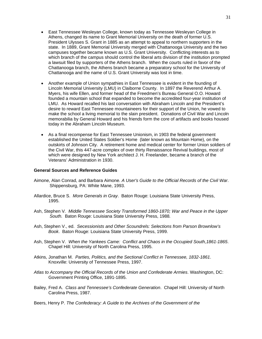- East Tennessee Wesleyan College, known today as Tennessee Wesleyan College in Athens, changed its name to Grant Memorial University on the death of former U.S. President Ulysses S. Grant in 1885 as an attempt to appeal to northern supporters in the state. In 1889, Grant Memorial University merged with Chattanooga University and the two campuses together became known as U.S. Grant University. Conflicting interests as to which branch of the campus should control the liberal arts division of the institution prompted a lawsuit filed by supporters of the Athens branch. When the courts ruled in favor of the Chattanooga branch, the Athens branch became a preparatory school for the University of Chattanooga and the name of U.S. Grant University was lost in time.
- Another example of Union sympathies in East Tennessee is evident in the founding of Lincoln Memorial University (LMU) in Claiborne County. In 1897 the Reverend Arthur A. Myers, his wife Ellen, and former head of the Freedmen's Bureau General O.O. Howard founded a mountain school that expanded to become the accredited four-year institution of LMU. As Howard recalled his last conversation with Abraham Lincoln and the President's desire to reward East Tennessee mountaineers for their support of the Union, he vowed to make the school a living memorial to the slain president. Donations of Civil War and Lincoln memorabilia by General Howard and his friends form the core of artifacts and books housed today in the Abraham Lincoln Museum.
- As a final recompense for East Tennessee Unionism, in 1903 the federal government established the United States Soldier's Home (later known as Mountain Home), on the outskirts of Johnson City. A retirement home and medical center for former Union soldiers of the Civil War, this 447-acre complex of over thirty Renaissance Revival buildings, most of which were designed by New York architect J. H. Freelander, became a branch of the Veterans' Administration in 1930.

# **General Sources and Reference Guides**

- Aimone, Alan Conrad, and Barbara Aimone. *A User's Guide to the Official Records of the Civil War*. Shippensburg, PA: White Mane, 1993.
- Allardice, Bruce S. *More Generals in Gray*. Baton Rouge: Louisiana State University Press, 1995.
- Ash, Stephen V*. Middle Tennessee Society Transformed 1860-1870; War and Peace in the Upper South.* Baton Rouge: Louisiana State University Press, 1988*.*
- Ash, Stephen V., ed. *Secessionists and Other Scoundrels: Selections from Parson Brownlow's Book*. Baton Rouge: Louisiana State University Press, 1999.
- Ash, Stephen V. *When the Yankees Came: Conflict and Chaos in the Occupied South,1861-1865*. Chapel Hill: University of North Carolina Press, 1995.
- Atkins, Jonathan M. *Parties, Politics, and the Sectional Conflict in Tennessee, 1832-1861*. Knoxville: University of Tennessee Press, 1997.
- *Atlas to Accompany the Official Records of the Union and Confederate Armies*. Washington, DC: Government Printing Office, 1891-1895.
- Bailey, Fred A. *Class and Tennessee's Confederate Generation*. Chapel Hill: University of North Carolina Press, 1987.
- Beers, Henry P. *The Confederacy: A Guide to the Archives of the Government of the*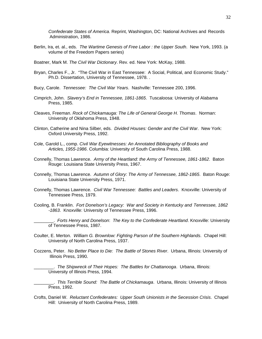*Confederate States of America*. Reprint, Washington, DC: National Archives and Records Administration, 1986.

- Berlin, Ira, et. al., eds. *The Wartime Genesis of Free Labor : the Upper South*. New York, 1993. (a volume of the Freedom Papers series)
- Boatner, Mark M. *The Civil War Dictionary*. Rev. ed. New York: McKay, 1988.
- Bryan, Charles F., Jr. "The Civil War in East Tennessee: A Social, Political, and Economic Study." Ph.D. Dissertation, University of Tennessee, 1978. .
- Bucy, Carole. *Tennessee: The Civil War Years*. Nashville: Tennessee 200, 1996.
- Cimprich, John. *Slavery's End in Tennessee, 1861-1865*. Tuscaloosa: University of Alabama Press, 1985.
- Cleaves, Freeman. *Rock of Chickamauga: The Life of General George H. Thomas*. Norman: University of Oklahoma Press, 1948.
- Clinton, Catherine and Nina Silber, eds. *Divided Houses: Gender and the Civil War*. New York: Oxford University Press, 1992.
- Cole, Garold L., comp. *Civil War Eyewitnesses: An Annotated Bibliography of Books and Articles, 1955-1986*. Columbia: University of South Carolina Press, 1988.
- Connelly, Thomas Lawrence. *Army of the Heartland: the Army of Tennessee, 1861-1862*. Baton Rouge: Louisiana State University Press, 1967.
- Connelly, Thomas Lawrence. *Autumn of Glory: The Army of Tennessee, 1862-1865*. Baton Rouge: Louisiana State University Press, 1971.
- Connelly, Thomas Lawrence. *Civil War Tennessee: Battles and Leaders*. Knoxville: University of Tennessee Press, 1979.
- Cooling, B. Franklin. *Fort Donelson's Legacy: War and Society in Kentucky and Tennessee, 1862 -1863*. Knoxville: University of Tennessee Press, 1996.

\_\_\_\_\_\_\_\_. *Forts Henry and Donelson*: *The Key to the Confederate Heartland*. Knoxville: University of Tennessee Press, 1987.

- Coulter, E. Merton. *William G. Brownlow: Fighting Parson of the Southern Highlands*. Chapel Hill: University of North Carolina Press, 1937.
- Cozzens, Peter. *No Better Place to Die: The Battle of Stones River*. Urbana, Illinois: University of Illinois Press, 1990*.*

\_\_\_\_\_\_\_\_. *The Shipwreck of Their Hopes: The Battles for Chattanooga*. Urbana, Illinois: University of Illinois Press, 1994.

\_\_\_\_\_\_\_\_. *This Terrible Sound: The Battle of Chickamauga*. Urbana, Illinois: University of Illinois Press, 1992.

Crofts, Daniel W. *Reluctant Confederates: Upper South Unionists in the Secession Crisis*. Chapel Hill: University of North Carolina Press, 1989.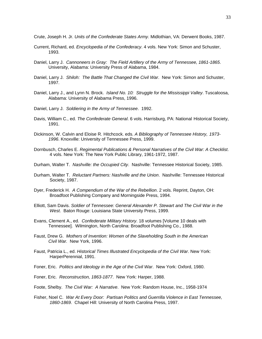Crute, Joseph H. Jr. *Units of the Confederate States Army*. Midlothian, VA: Derwent Books, 1987.

- Current, Richard, ed. *Encyclopedia of the Confederacy*. 4 vols. New York: Simon and Schuster, 1993.
- Daniel, Larry J. *Cannoneers in Gray: The Field Artillery of the Army of Tennessee, 1861-1865*. University, Alabama: University Press of Alabama, 1984.
- Daniel, Larry J. *Shiloh: The Battle That Changed the Civil War*. New York: Simon and Schuster, 1997.
- Daniel, Larry J., and Lynn N. Brock. *Island No. 10: Struggle for the Mississippi Valley*. Tuscaloosa, Alabama: University of Alabama Press, 1996.
- Daniel, Larry J. *Soldiering in the Army of Tennessee*. 1992.
- Davis, William C., ed. *The Confederate General*. 6 vols. Harrisburg, PA: National Historical Society, 1991.
- Dickinson, W. Calvin and Eloise R. Hitchcock. eds. *A Bibliography of Tennessee History, 1973- 1996*. Knoxville: University of Tennessee Press, 1999.
- Dornbusch, Charles E. *Regimental Publications & Personal Narratives of the Civil War: A Checklist*. 4 vols. New York: The New York Public Library, 1961-1972, 1987.
- Durham, Walter T. *Nashville: the Occupied City*. Nashville: Tennessee Historical Society, 1985.
- Durham, Walter T. *Reluctant Partners: Nashville and the Union*. Nashville: Tennessee Historical Society, 1987.
- Dyer, Frederick H. *A Compendium of the War of the Rebellion*. 2 vols. Reprint, Dayton, OH: Broadfoot Publishing Company and Morningside Press, 1994.
- Elliott, Sam Davis. *Soldier of Tennessee: General Alexander P. Stewart and The Civil War in the West*. Baton Rouge: Louisiana State University Press, 1999.
- Evans, Clement A., ed. *Confederate Military History*. 18 volumes [Volume 10 deals with Tennessee]. Wilmington, North Carolina: Broadfoot Publishing Co., 1988.
- Faust, Drew G. *Mothers of Invention: Women of the Slaveholding South in the American Civil War.* New York, 1996.
- Faust, Patricia L., ed. *Historical Times Illustrated Encyclopedia of the Civil War*. New York: HarperPerennial, 1991.
- Foner, Eric. *Politics and Ideology in the Age of the Civil War*. New York: Oxford, 1980.
- Foner, Eric. *Reconstruction, 1863-1877*. New York: Harper, 1988.
- Foote, Shelby. *The Civil War: A Narrative*. New York: Random House, Inc., 1958-1974
- Fisher, Noel C. *War At Every Door: Partisan Politics and Guerrilla Violence in East Tennessee, 1860-1869*. Chapel Hill: University of North Carolina Press, 1997.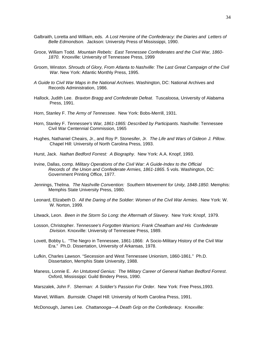- Galbraith, Loretta and William, eds. *A Lost Heroine of the Confederacy: the Diaries and Letters of Belle Edmondson.* Jackson: University Press of Mississippi, 1990.
- Groce, William Todd. *Mountain Rebels: East Tennessee Confederates and the Civil War, 1860- 1870*. Knoxville: University of Tennessee Press, 1999
- Groom, Winston. *Shrouds of Glory, From Atlanta to Nashville: The Last Great Campaign of the Civil War*. New York: Atlantic Monthly Press, 1995.
- *A Guide to Civil War Maps in the National Archives*. Washington, DC: National Archives and Records Administration, 1986.
- Hallock, Judith Lee. *Braxton Bragg and Confederate Defeat*. Tuscaloosa, University of Alabama Press, 1991.
- Horn, Stanley F. *The Army of Tennessee*. New York: Bobs-Merrill, 1931.
- Horn, Stanley F. *Tennessee's War, 1861-1865: Described by Participants*. Nashville: Tennessee Civil War Centennial Commission, 1965
- Hughes, Nathaniel Cheairs, Jr., and Roy P. Stonesifer, Jr. *The Life and Wars of Gideon J. Pillow*. Chapel Hill: University of North Carolina Press, 1993.
- Hurst, Jack. *Nathan Bedford Forrest: A Biography*. New York: A.A. Knopf, 1993.
- Irvine, Dallas, comp. *Military Operations of the Civil War: A Guide-Index to the Official Records of the Union and Confederate Armies, 1861-1865*. 5 vols. Washington, DC: Government Printing Office, 1977.
- Jennings, Thelma. *The Nashville Convention: Southern Movement for Unity, 1848-1850*. Memphis: Memphis State University Press, 1980.
- Leonard, Elizabeth D. *All the Daring of the Soldier: Women of the Civil War Armies*. New York: W. W. Norton, 1999.
- Litwack, Leon. *Been in the Storm So Long: the Aftermath of Slavery*. New York: Knopf, 1979.
- Losson, Christopher. *Tennessee's Forgotten Warriors: Frank Cheatham and His Confederate Division*. Knoxville: University of Tennessee Press, 1989.
- Lovett, Bobby L. "The Negro in Tennessee, 1861-1866: A Socio-Military History of the Civil War Era." Ph.D. Dissertation, University of Arkansas, 1978.
- Lufkin, Charles Lawson. "Secession and West Tennessee Unionism, 1860-1861." Ph.D. Dissertation, Memphis State University, 1988.
- Maness, Lonnie E. *An Untutored Genius: The Military Career of General Nathan Bedford Forrest*. Oxford, Mississippi: Guild Bindery Press, 1990.
- Marszalek, John F. *Sherman: A Soldier's Passion For Order*. New York: Free Press,1993.

Marvel, William. *Burnside*. Chapel Hill: University of North Carolina Press, 1991.

McDonough, James Lee. *Chattanooga—A Death Grip on the Confederacy*. Knoxville: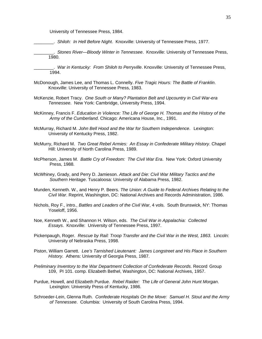University of Tennessee Press, 1984.

\_\_\_\_\_\_\_\_. *Shiloh: In Hell Before Night*. Knoxville: University of Tennessee Press, 1977.

\_\_\_\_\_\_\_\_. *Stones River—Bloody Winter in Tennessee*. Knoxville: University of Tennessee Press, 1980.

\_\_\_\_\_\_\_\_. *War in Kentucky: From Shiloh to Perryville*. Knoxville: University of Tennessee Press, 1994.

- McDonough, James Lee, and Thomas L. Connelly. *Five Tragic Hours: The Battle of Franklin*. Knoxville: University of Tennessee Press, 1983.
- McKenzie, Robert Tracy. *One South or Many? Plantation Belt and Upcountry in Civil War-era Tennessee*. New York: Cambridge, University Press, 1994.
- McKinney, Francis F. *Education in Violence: The Life of George H. Thomas and the History of the Army of the Cumberland*. Chicago: Americana House, Inc., 1991.
- McMurray, Richard M. *John Bell Hood and the War for Southern Independence*. Lexington: University of Kentucky Press, 1982.
- McMurry, Richard M. *Two Great Rebel Armies: An Essay in Confederate Military History*. Chapel Hill: University of North Carolina Press, 1989.
- McPherson, James M. *Battle Cry of Freedom: The Civil War Era*. New York: Oxford University Press, 1988.
- McWhiney, Grady, and Perry D. Jamieson. *Attack and Die: Civil War Military Tactics and the Southern Heritage*. Tuscaloosa: University of Alabama Press, 1982.
- Munden, Kenneth. W., and Henry P. Beers. *The Union: A Guide to Federal Archives Relating to the Civil War*. Reprint, Washington, DC: National Archives and Records Administration, 1986.
- Nichols, Roy F., intro., *Battles and Leaders of the Civil War*, 4 vols. South Brunswick, NY: Thomas Yoseloff, 1956.
- Noe, Kenneth W., and Shannon H. Wilson, eds. *The Civil War in Appalachia: Collected Essays*. Knoxville: University of Tennessee Press, 1997.
- Pickenpaugh, Roger. *Rescue by Rail: Troop Transfer and the Civil War in the West, 1863*. Lincoln: University of Nebraska Press, 1998.
- Piston, William Garrett. *Lee's Tarnished Lieutenant: James Longstreet and His Place in Southern History*. Athens: University of Georgia Press, 1987.
- *Preliminary Inventory to the War Department Collection of Confederate Records*. Record Group 109, PI 101. comp. Elizabeth Bethel, Washington, DC: National Archives, 1957.
- Purdue, Howell, and Elizabeth Purdue. *Rebel Raider: The Life of General John Hunt Morgan*. Lexington: University Press of Kentucky, 1986.
- Schroeder-Lein, Glenna Ruth. *Confederate Hospitals On the Move: Samuel H. Stout and the Army of Tennessee*. Columbia: University of South Carolina Press, 1994.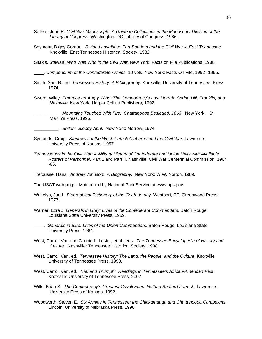- Sellers, John R. *Civil War Manuscripts: A Guide to Collections in the Manuscript Division of the Library of Congress*. Washington, DC: Library of Congress, 1986.
- Seymour, Digby Gordon. *Divided Loyalties: Fort Sanders and the Civil War in East Tennessee*. Knoxville: East Tennessee Historical Society, 1982.

Sifakis, Stewart. *Who Was Who in the Civil War*. New York: Facts on File Publications, 1988.

. *Compendium of the Confederate Armies*. 10 vols. New York: Facts On File, 1992- 1995.

- Smith, Sam B., ed. *Tennessee History: A Bibliography*. Knoxville: University of Tennessee Press, 1974.
- Sword, Wiley. *Embrace an Angry Wind: The Confederacy's Last Hurrah: Spring Hill, Franklin, and Nashville*. New York: Harper Collins Publishers, 1992.

\_\_\_\_\_\_\_\_\_\_. *Mountains Touched With Fire: Chattanooga Besieged, 1863*. New York: St. Martin's Press, 1995.

\_\_\_\_\_\_\_\_\_\_. *Shiloh: Bloody April*. New York: Morrow, 1974.

- Symonds, Craig. *Stonewall of the West: Patrick Cleburne and the Civil War*. Lawrence: University Press of Kansas, 1997
- *Tennesseans in the Civil War: A Military History of Confederate and Union Units with Available Rosters of Personnel*. Part 1 and Part II. Nashville: Civil War Centennial Commission, 1964 -65.

Trefousse, Hans. *Andrew Johnson*: *A Biography*. New York: W.W. Norton, 1989.

The USCT web page. Maintained by National Park Service at www.nps.gov.

- Wakelyn, Jon L. *Biographical Dictionary of the Confederacy*. Westport, CT: Greenwood Press, 1977.
- Warner, Ezra J. *Generals in Grey: Lives of the Confederate Commanders*. Baton Rouge: Louisiana State University Press, 1959.
- . *Generals in Blue: Lives of the Union Commanders*. Baton Rouge: Louisiana State University Press, 1964.
- West, Carroll Van and Connie L. Lester, et al., eds. *The Tennessee Encyclopedia of History and Culture*. Nashville: Tennessee Historical Society, 1998.
- West, Carroll Van, ed. *Tennessee History: The Land, the People, and the Culture*. Knoxville: University of Tennessee Press, 1998.
- West, Carroll Van, ed. *Trial and Triumph: Readings in Tennessee's African-American Past*. Knoxville: University of Tennessee Press, 2002.
- Wills, Brian S. *The Confederacy's Greatest Cavalryman: Nathan Bedford Forrest*. Lawrence: University Press of Kansas, 1992.
- Woodworth, Steven E. *Six Armies in Tennessee: the Chickamauga and Chattanooga Campaigns*. Lincoln: University of Nebraska Press, 1998.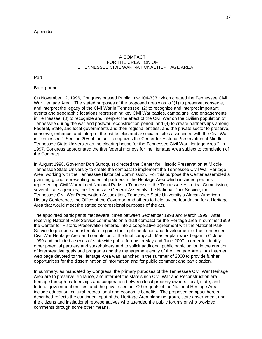# A COMPACT FOR THE CREATION OF THE TENNESSEE CIVIL WAR NATIONAL HERITAGE AREA

Part I

## **Background**

On November 12, 1996, Congress passed Public Law 104-333, which created the Tennessee Civil War Heritage Area. The stated purposes of the proposed area was to "(1) to preserve, conserve, and interpret the legacy of the Civil War in Tennessee; (2) to recognize and interpret important events and geographic locations representing key Civil War battles, campaigns, and engagements in Tennessee; (3) to recognize and interpret the effect of the Civil War on the civilian population of Tennessee during the war and postwar reconstruction period; and (4) to create partnerships among Federal, State, and local governments and their regional entities, and the private sector to preserve, conserve, enhance, and interpret the battlefields and associated sites associated with the Civil War in Tennessee." Section 205 of the act "recognizes the Center for Historic Preservation at Middle Tennessee State University as the clearing house for the Tennessee Civil War Heritage Area." In 1997, Congress appropriated the first federal moneys for the Heritage Area subject to completion of the Compact.

In August 1998, Governor Don Sundquist directed the Center for Historic Preservation at Middle Tennessee State University to create the compact to implement the Tennessee Civil War Heritage Area, working with the Tennessee Historical Commission. For this purpose the Center assembled a planning group representing potential partners in the Heritage Area which included persons representing Civil War related National Parks in Tennessee, the Tennessee Historical Commission, several state agencies, the Tennessee General Assembly, the National Park Service, the Tennessee Civil War Preservation Association, Tennessee State University's African-American History Conference, the Office of the Governor, and others to help lay the foundation for a Heritage Area that would meet the stated congressional purposes of the act.

The appointed participants met several times between September 1998 and March 1999. After receiving National Park Service comments on a draft compact for the Heritage area in summer 1999 the Center for Historic Preservation entered into a cooperative agreement with the National Park Service to produce a master plan to guide the implementation and development of the Tennessee Civil War Heritage Area and completion of the final compact. Master plan work began in October 1999 and included a series of statewide public forums in May and June 2000 in order to identify other potential partners and stakeholders and to solicit additional public participation in the creation of interpretative goals and programs and the management entity of the Heritage Area. An Internet web page devoted to the Heritage Area was launched in the summer of 2000 to provide further opportunities for the dissemination of information and for public comment and participation.

In summary, as mandated by Congress, the primary purposes of the Tennessee Civil War Heritage Area are to preserve, enhance, and interpret the state's rich Civil War and Reconstruction era heritage through partnerships and cooperation between local property owners, local, state, and federal government entities, and the private sector. Other goals of the National Heritage Area include education, cultural, recreational and economic benefits. The proposed compact herein described reflects the continued input of the Heritage Area planning group, state government, and the citizens and institutional representatives who attended the public forums or who provided comments through some other means.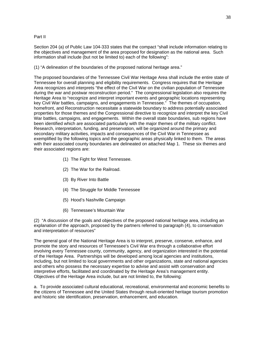Part II

Section 204 (a) of Public Law 104-333 states that the compact "shall include information relating to the objectives and management of the area proposed for designation as the national area. Such information shall include (but not be limited to) each of the following":

(1) "A delineation of the boundaries of the proposed national heritage area."

The proposed boundaries of the Tennessee Civil War Heritage Area shall include the entire state of Tennessee for overall planning and eligibility requirements. Congress requires that the Heritage Area recognizes and interprets "the effect of the Civil War on the civilian population of Tennessee during the war and postwar reconstruction period." The congressional legislation also requires the Heritage Area to "recognize and interpret important events and geographic locations representing key Civil War battles, campaigns, and engagements in Tennessee." The themes of occupation, homefront, and Reconstruction necessitate a statewide boundary to address potentially associated properties for those themes and the Congressional directive to recognize and interpret the key Civil War battles, campaigns, and engagements. Within the overall state boundaries, sub regions have been identified which are associated particularly with the major themes of the military conflict. Research, interpretation, funding, and preservation, will be organized around the primary and secondary military activities, impacts and consequences of the Civil War in Tennessee as exemplified by the following topics and the geographic areas physically linked to them. The areas with their associated county boundaries are delineated on attached Map 1. These six themes and their associated regions are:

- (1) The Fight for West Tennessee.
- (2) The War for the Railroad.
- (3) By River Into Battle
- (4) The Struggle for Middle Tennessee
- (5) Hood's Nashville Campaign
- (6) Tennessee's Mountain War

(2) "A discussion of the goals and objectives of the proposed national heritage area, including an explanation of the approach, proposed by the partners referred to paragraph (4), to conservation and interpretation of resources"

The general goal of the National Heritage Area is to interpret, preserve, conserve, enhance, and promote the story and resources of Tennessee's Civil War era through a collaborative effort involving every Tennessee county, community, agency, and organization interested in the potential of the Heritage Area. Partnerships will be developed among local agencies and institutions, including, but not limited to local governments and other organizations, state and national agencies and others who possess the necessary expertise to advise and assist with conservation and interpretive efforts, facilitated and coordinated by the Heritage Area's management entity. Objectives of the Heritage Area include, but are not limited to, the following:

a. To provide associated cultural educational, recreational, environmental and economic benefits to the citizens of Tennessee and the United States through result-oriented heritage tourism promotion and historic site identification, preservation, enhancement, and education.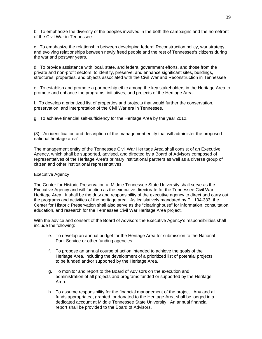b. To emphasize the diversity of the peoples involved in the both the campaigns and the homefront of the Civil War in Tennessee

c. To emphasize the relationship between developing federal Reconstruction policy, war strategy, and evolving relationships between newly freed people and the rest of Tennessee's citizens during the war and postwar years.

d. To provide assistance with local, state, and federal government efforts, and those from the private and non-profit sectors, to identify, preserve, and enhance significant sites, buildings, structures, properties, and objects associated with the Civil War and Reconstruction in Tennessee

e. To establish and promote a partnership ethic among the key stakeholders in the Heritage Area to promote and enhance the programs, initiatives, and projects of the Heritage Area.

f. To develop a prioritized list of properties and projects that would further the conservation, preservation, and interpretation of the Civil War era in Tennessee.

g. To achieve financial self-sufficiency for the Heritage Area by the year 2012.

(3) "An identification and description of the management entity that will administer the proposed national heritage area"

The management entity of the Tennessee Civil War Heritage Area shall consist of an Executive Agency, which shall be supported, advised, and directed by a Board of Advisors composed of representatives of the Heritage Area's primary institutional partners as well as a diverse group of citizen and other institutional representatives.

## Executive Agency

The Center for Historic Preservation at Middle Tennessee State University shall serve as the Executive Agency and will function as the executive directorate for the Tennessee Civil War Heritage Area. It shall be the duty and responsibility of the executive agency to direct and carry out the programs and activities of the heritage area. As legislatively mandated by PL 104-333, the Center for Historic Preservation shall also serve as the "clearinghouse" for information, consultation, education, and research for the Tennessee Civil War Heritage Area project.

With the advice and consent of the Board of Advisors the Executive Agency's responsibilities shall include the following:

- e. To develop an annual budget for the Heritage Area for submission to the National Park Service or other funding agencies.
- f. To propose an annual course of action intended to achieve the goals of the Heritage Area, including the development of a prioritized list of potential projects to be funded and/or supported by the Heritage Area.
- g. To monitor and report to the Board of Advisors on the execution and administration of all projects and programs funded or supported by the Heritage Area.
- h. To assume responsibility for the financial management of the project. Any and all funds appropriated, granted, or donated to the Heritage Area shall be lodged in a dedicated account at Middle Tennessee State University. An annual financial report shall be provided to the Board of Advisors.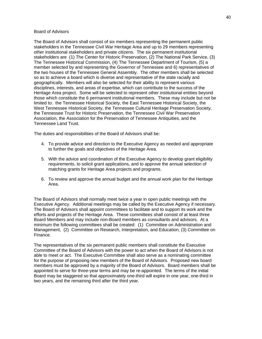## Board of Advisors

The Board of Advisors shall consist of six members representing the permanent public stakeholders in the Tennessee Civil War Heritage Area and up to 29 members representing other institutional stakeholders and private citizens. The six permanent institutional stakeholders are (1) The Center for Historic Preservation, (2) The National Park Service, (3) The Tennessee Historical Commission, (4) The Tennessee Department of Tourism, (5) a member selected by and representing the Governor of Tennessee and 6) representatives of the two houses of the Tennessee General Assembly. The other members shall be selected so as to achieve a board which is diverse and representative of the state racially and geographically. Members will also be selected for their ability to represent various disciplines, interests, and areas of expertise, which can contribute to the success of the Heritage Area project. Some will be selected to represent other institutional entities beyond those which constitute the 6 permanent institutional members. These may include but not be limited to: the Tennessee Historical Society, the East Tennessee Historical Society, the West Tennessee Historical Society, the Tennessee Cultural Heritage Preservation Society, the Tennessee Trust for Historic Preservation, the Tennessee Civil War Preservation Association, the Association for the Preservation of Tennessee Antiquities, and the Tennessee Land Trust.

The duties and responsibilities of the Board of Advisors shall be:

- 4. To provide advice and direction to the Executive Agency as needed and appropriate to further the goals and objectives of the Heritage Area.
- 5. With the advice and coordination of the Executive Agency to develop grant eligibility requirements, to solicit grant applications, and to approve the annual selection of matching grants for Heritage Area projects and programs.
- 6. To review and approve the annual budget and the annual work plan for the Heritage Area.

The Board of Advisors shall normally meet twice a year in open public meetings with the Executive Agency. Additional meetings may be called by the Executive Agency if necessary. The Board of Advisors shall appoint committees to facilitate and to support its work and the efforts and projects of the Heritage Area. These committees shall consist of at least three Board Members and may include non-Board members as consultants and advisors. At a minimum the following committees shall be created: (1) Committee on Administration and Management, (2) Committee on Research, Interpretation, and Education, (3) Committee on Finance.

The representatives of the six permanent public members shall constitute the Executive Committee of the Board of Advisors with the power to act when the Board of Advisors is not able to meet or act. The Executive Committee shall also serve as a nominating committee for the purpose of proposing new members of the Board of Advisors. Proposed new board members must be approved by a majority of the Board of Advisors. Board members shall be appointed to serve for three-year terms and may be re-appointed. The terms of the initial Board may be staggered so that approximately one-third will expire in one year, one-third in two years, and the remaining third after the third year.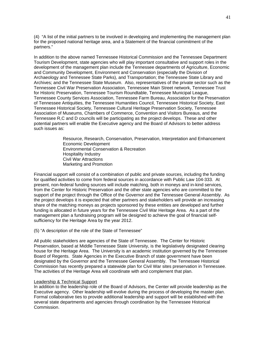(4) "A list of the initial partners to be involved in developing and implementing the management plan for the proposed national heritage area, and a Statement of the financial commitment of the partners."

In addition to the above named Tennessee Historical Commission and the Tennessee Department Tourism Development, state agencies who will play important consultative and support roles in the development of the management plan include the Tennessee departments of Agriculture, Economic and Community Development, Environment and Conservation (especially the Division of Archaeology and Tennessee State Parks), and Transportation; the Tennessee State Library and Archives; and the Tennessee State Museum. Also, representatives of the private sector such as the Tennessee Civil War Preservation Association, Tennessee Main Street network, Tennessee Trust for Historic Preservation, Tennessee Tourism Roundtable, Tennessee Municipal League, Tennessee County Services Association, Tennessee Farm Bureau, Association for the Preservation of Tennessee Antiquities, the Tennessee Humanities Council, Tennessee Historical Society, East Tennessee Historical Society, Tennessee Cultural Heritage Preservation Society, Tennessee Association of Museums, Chambers of Commerce, Convention and Visitors Bureaus, and the Tennessee R,C and D councils will be participating as the project develops. These and other potential partners will enable the Executive agency and the Board of Advisors to better address such issues as:

> Resource, Research, Conservation, Preservation, Interpretation and Enhancement Economic Development Environmental Conservation & Recreation Hospitality Industry Civil War Attractions Marketing and Promotion

Financial support will consist of a combination of public and private sources, including the funding for qualified activities to come from federal sources in accordance with Public Law 104-333. At present, non-federal funding sources will include matching, both in moneys and in-kind services, from the Center for Historic Preservation and the other state agencies who are committed to the support of the project through the Office of the Governor and the Tennessee General Assembly. As the project develops it is expected that other partners and stakeholders will provide an increasing share of the matching moneys as projects sponsored by these entities are developed and further funding is allocated in future years for the Tennessee Civil War Heritage Area. As a part of the management plan a fundraising program will be designed to achieve the goal of financial selfsufficiency for the Heritage Area by the year 2012.

(5) "A description of the role of the State of Tennessee"

All public stakeholders are agencies of the State of Tennessee. The Center for Historic Preservation, based at Middle Tennessee State University, is the legislatively designated clearing house for the Heritage Area. The University is an academic institution governed by the Tennessee Board of Regents. State Agencies in the Executive Branch of state government have been designated by the Governor and the Tennessee General Assembly. The Tennessee Historical Commission has recently prepared a statewide plan for Civil War sites preservation in Tennessee. The activities of the Heritage Area will coordinate with and complement that plan.

## Leadership & Technical Support

In addition to the leadership role of the Board of Advisors, the Center will provide leadership as the Executive agency. Other leadership will evolve during the process of developing the master plan. Formal collaborative ties to provide additional leadership and support will be established with the several state departments and agencies through coordination by the Tennessee Historical Commission.